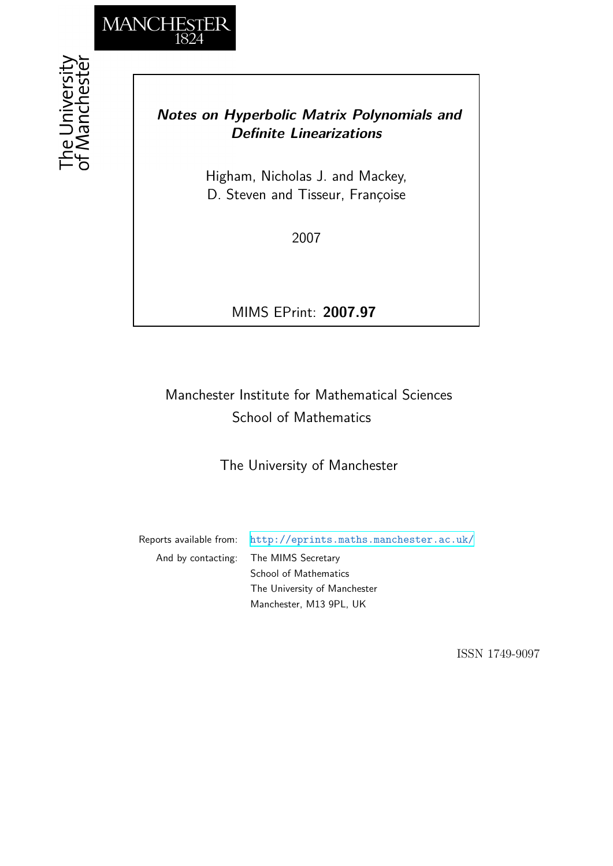

# *Notes on Hyperbolic Matrix Polynomials and Definite Linearizations*

Higham, Nicholas J. and Mackey, D. Steven and Tisseur, Françoise

2007

MIMS EPrint: **2007.97**

# Manchester Institute for Mathematical Sciences School of Mathematics

The University of Manchester

Reports available from: <http://eprints.maths.manchester.ac.uk/> And by contacting: The MIMS Secretary School of Mathematics The University of Manchester

Manchester, M13 9PL, UK

ISSN 1749-9097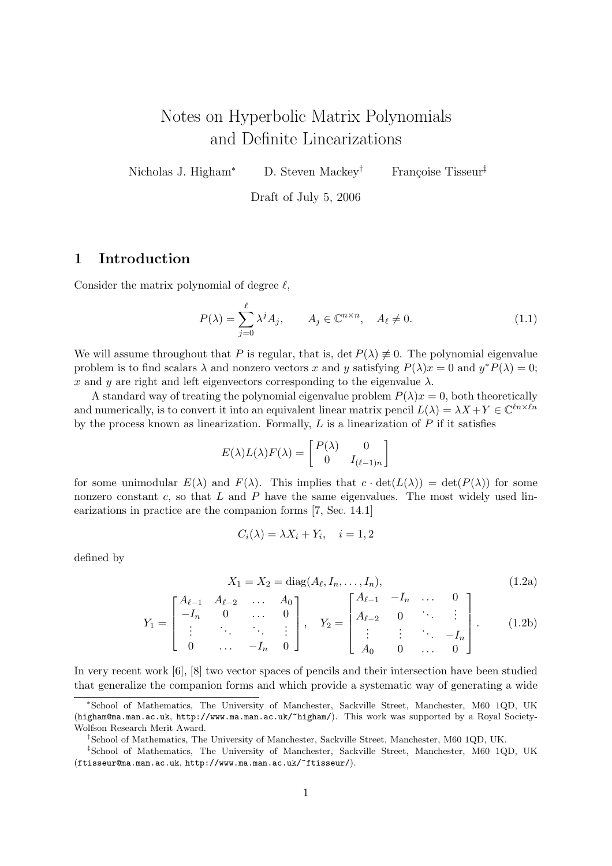# Notes on Hyperbolic Matrix Polynomials and Definite Linearizations

Nicholas J. Higham<sup>∗</sup> D. Steven Mackey<sup>†</sup> Françoise Tisseur<sup>‡</sup>

Draft of July 5, 2006

# 1 Introduction

Consider the matrix polynomial of degree  $\ell$ ,

$$
P(\lambda) = \sum_{j=0}^{\ell} \lambda^j A_j, \qquad A_j \in \mathbb{C}^{n \times n}, \quad A_{\ell} \neq 0.
$$
 (1.1)

We will assume throughout that P is regular, that is, det  $P(\lambda) \neq 0$ . The polynomial eigenvalue problem is to find scalars  $\lambda$  and nonzero vectors x and y satisfying  $P(\lambda)x = 0$  and  $y^*P(\lambda) = 0$ ; x and y are right and left eigenvectors corresponding to the eigenvalue  $\lambda$ .

A standard way of treating the polynomial eigenvalue problem  $P(\lambda)x = 0$ , both theoretically and numerically, is to convert it into an equivalent linear matrix pencil  $L(\lambda) = \lambda X + Y \in \mathbb{C}^{\ell n \times \ell n}$ by the process known as linearization. Formally,  $L$  is a linearization of  $P$  if it satisfies

$$
E(\lambda)L(\lambda)F(\lambda) = \begin{bmatrix} P(\lambda) & 0 \\ 0 & I_{(\ell-1)n} \end{bmatrix}
$$

for some unimodular  $E(\lambda)$  and  $F(\lambda)$ . This implies that  $c \cdot det(L(\lambda)) = det(P(\lambda))$  for some nonzero constant  $c$ , so that  $L$  and  $P$  have the same eigenvalues. The most widely used linearizations in practice are the companion forms [7, Sec. 14.1]

$$
C_i(\lambda) = \lambda X_i + Y_i, \quad i = 1, 2
$$

defined by

$$
X_1 = X_2 = \text{diag}(A_\ell, I_n, \dots, I_n), \tag{1.2a}
$$

$$
Y_1 = \begin{bmatrix} A_{\ell-1} & A_{\ell-2} & \dots & A_0 \\ -I_n & 0 & \dots & 0 \\ \vdots & \ddots & \ddots & \vdots \\ 0 & \dots & -I_n & 0 \end{bmatrix}, \quad Y_2 = \begin{bmatrix} A_{\ell-1} & -I_n & \dots & 0 \\ A_{\ell-2} & 0 & \ddots & \vdots \\ \vdots & \vdots & \ddots & -I_n \\ A_0 & 0 & \dots & 0 \end{bmatrix}.
$$
 (1.2b)

In very recent work [6], [8] two vector spaces of pencils and their intersection have been studied that generalize the companion forms and which provide a systematic way of generating a wide

<sup>∗</sup>School of Mathematics, The University of Manchester, Sackville Street, Manchester, M60 1QD, UK (higham@ma.man.ac.uk, http://www.ma.man.ac.uk/~higham/). This work was supported by a Royal Society-Wolfson Research Merit Award.

<sup>†</sup>School of Mathematics, The University of Manchester, Sackville Street, Manchester, M60 1QD, UK.

<sup>‡</sup>School of Mathematics, The University of Manchester, Sackville Street, Manchester, M60 1QD, UK (ftisseur@ma.man.ac.uk, http://www.ma.man.ac.uk/~ftisseur/).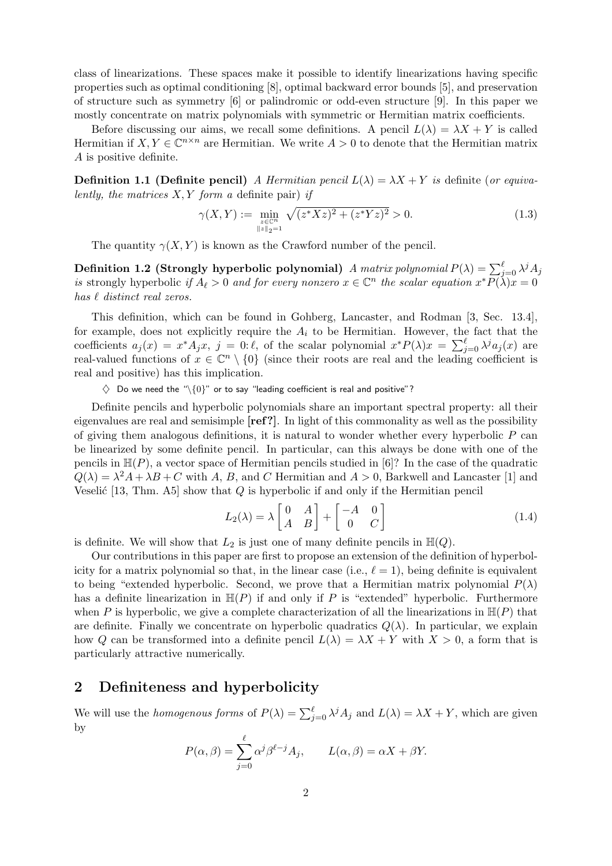class of linearizations. These spaces make it possible to identify linearizations having specific properties such as optimal conditioning [8], optimal backward error bounds [5], and preservation of structure such as symmetry [6] or palindromic or odd-even structure [9]. In this paper we mostly concentrate on matrix polynomials with symmetric or Hermitian matrix coefficients.

Before discussing our aims, we recall some definitions. A pencil  $L(\lambda) = \lambda X + Y$  is called Hermitian if  $X, Y \in \mathbb{C}^{n \times n}$  are Hermitian. We write  $A > 0$  to denote that the Hermitian matrix A is positive definite.

**Definition 1.1 (Definite pencil)** A Hermitian pencil  $L(\lambda) = \lambda X + Y$  is definite (or equivalently, the matrices  $X, Y$  form a definite pair) if

$$
\gamma(X,Y) := \min_{\substack{z \in \mathbb{C}^n \\ \|z\|_2 = 1}} \sqrt{(z^* X z)^2 + (z^* Y z)^2} > 0.
$$
\n(1.3)

The quantity  $\gamma(X, Y)$  is known as the Crawford number of the pencil.

Definition 1.2 (Strongly hyperbolic polynomial) A matrix polynomial  $P(\lambda) = \sum_{j=0}^{\ell} \lambda^j A_j$ is strongly hyperbolic if  $A_\ell > 0$  and for every nonzero  $x \in \mathbb{C}^n$  the scalar equation  $x^* \overline{P(\lambda)} x = 0$ has  $\ell$  distinct real zeros.

This definition, which can be found in Gohberg, Lancaster, and Rodman [3, Sec. 13.4], for example, does not explicitly require the  $A_i$  to be Hermitian. However, the fact that the coefficients  $a_j(x) = x^* A_j x$ ,  $j = 0:\ell$ , of the scalar polynomial  $x^* P(\lambda)x = \sum_{j=0}^{\ell} \lambda^j a_j(x)$  are real-valued functions of  $x \in \mathbb{C}^n \setminus \{0\}$  (since their roots are real and the leading coefficient is real and positive) has this implication.

 $\Diamond$  Do we need the "\ $\{0\}$ " or to say "leading coefficient is real and positive"?

Definite pencils and hyperbolic polynomials share an important spectral property: all their eigenvalues are real and semisimple  $[ref?]$ . In light of this commonality as well as the possibility of giving them analogous definitions, it is natural to wonder whether every hyperbolic  $P$  can be linearized by some definite pencil. In particular, can this always be done with one of the pencils in  $\mathbb{H}(P)$ , a vector space of Hermitian pencils studied in [6]? In the case of the quadratic  $Q(\lambda) = \lambda^2 A + \lambda B + C$  with A, B, and C Hermitian and  $A > 0$ , Barkwell and Lancaster [1] and Veselić [13, Thm. A5] show that  $Q$  is hyperbolic if and only if the Hermitian pencil

$$
L_2(\lambda) = \lambda \begin{bmatrix} 0 & A \\ A & B \end{bmatrix} + \begin{bmatrix} -A & 0 \\ 0 & C \end{bmatrix}
$$
 (1.4)

is definite. We will show that  $L_2$  is just one of many definite pencils in  $\mathbb{H}(Q)$ .

Our contributions in this paper are first to propose an extension of the definition of hyperbolicity for a matrix polynomial so that, in the linear case (i.e.,  $\ell = 1$ ), being definite is equivalent to being "extended hyperbolic. Second, we prove that a Hermitian matrix polynomial  $P(\lambda)$ has a definite linearization in  $\mathbb{H}(P)$  if and only if P is "extended" hyperbolic. Furthermore when P is hyperbolic, we give a complete characterization of all the linearizations in  $\mathbb{H}(P)$  that are definite. Finally we concentrate on hyperbolic quadratics  $Q(\lambda)$ . In particular, we explain how Q can be transformed into a definite pencil  $L(\lambda) = \lambda X + Y$  with  $X > 0$ , a form that is particularly attractive numerically.

# 2 Definiteness and hyperbolicity

We will use the *homogenous forms* of  $P(\lambda) = \sum_{j=0}^{\ell} \lambda^{j} A_j$  and  $L(\lambda) = \lambda X + Y$ , which are given by

$$
P(\alpha, \beta) = \sum_{j=0}^{\ell} \alpha^j \beta^{\ell-j} A_j, \qquad L(\alpha, \beta) = \alpha X + \beta Y.
$$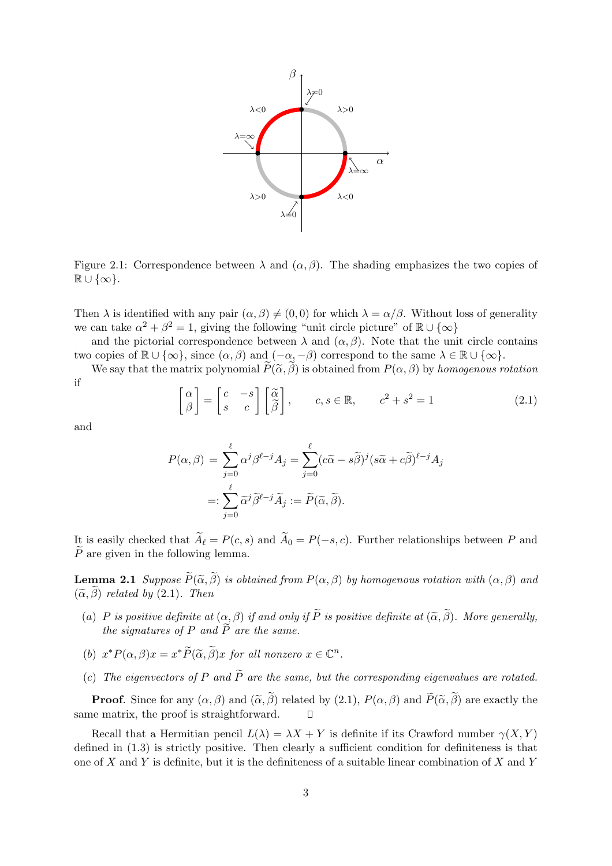

Figure 2.1: Correspondence between  $\lambda$  and  $(\alpha, \beta)$ . The shading emphasizes the two copies of  $\mathbb{R} \cup \{\infty\}.$ 

Then  $\lambda$  is identified with any pair  $(\alpha, \beta) \neq (0, 0)$  for which  $\lambda = \alpha/\beta$ . Without loss of generality we can take  $\alpha^2 + \beta^2 = 1$ , giving the following "unit circle picture" of  $\mathbb{R} \cup \{\infty\}$ 

and the pictorial correspondence between  $\lambda$  and  $(\alpha, \beta)$ . Note that the unit circle contains two copies of  $\mathbb{R} \cup {\infty}$ , since  $(\alpha, \beta)$  and  $(-\alpha, -\beta)$  correspond to the same  $\lambda \in \mathbb{R} \cup {\infty}$ .

We say that the matrix polynomial  $\widetilde{P}(\widetilde{\alpha}, \widetilde{\beta})$  is obtained from  $P(\alpha, \beta)$  by homogenous rotation if

$$
\begin{bmatrix} \alpha \\ \beta \end{bmatrix} = \begin{bmatrix} c & -s \\ s & c \end{bmatrix} \begin{bmatrix} \widetilde{\alpha} \\ \widetilde{\beta} \end{bmatrix}, \qquad c, s \in \mathbb{R}, \qquad c^2 + s^2 = 1 \tag{2.1}
$$

and

$$
P(\alpha, \beta) = \sum_{j=0}^{\ell} \alpha^{j} \beta^{\ell-j} A_j = \sum_{j=0}^{\ell} (c\tilde{\alpha} - s\tilde{\beta})^j (s\tilde{\alpha} + c\tilde{\beta})^{\ell-j} A_j
$$

$$
=: \sum_{j=0}^{\ell} \tilde{\alpha}^j \tilde{\beta}^{\ell-j} \tilde{A}_j := \tilde{P}(\tilde{\alpha}, \tilde{\beta}).
$$

It is easily checked that  $\widetilde{A}_{\ell} = P(c, s)$  and  $\widetilde{A}_{0} = P(-s, c)$ . Further relationships between P and  $\tilde{P}$  are given in the following lemma.

**Lemma 2.1** Suppose  $\widetilde{P}(\widetilde{\alpha}, \widetilde{\beta})$  is obtained from  $P(\alpha, \beta)$  by homogenous rotation with  $(\alpha, \beta)$  and  $(\widetilde{\alpha}, \widetilde{\beta})$  related by (2.1). Then

- (a) P is positive definite at  $(\alpha, \beta)$  if and only if  $\widetilde{P}$  is positive definite at  $(\widetilde{\alpha}, \widetilde{\beta})$ . More generally, the signatures of P and  $\tilde{P}$  are the same.
- (b)  $x^*P(\alpha, \beta)x = x^*\widetilde{P}(\widetilde{\alpha}, \widetilde{\beta})x$  for all nonzero  $x \in \mathbb{C}^n$ .
- (c) The eigenvectors of P and  $\widetilde{P}$  are the same, but the corresponding eigenvalues are rotated.

**Proof.** Since for any  $(\alpha, \beta)$  and  $(\widetilde{\alpha}, \widetilde{\beta})$  related by (2.1),  $P(\alpha, \beta)$  and  $\widetilde{P}(\widetilde{\alpha}, \widetilde{\beta})$  are exactly the neutrix, the proof is straightforward.  $\Box$ same matrix, the proof is straightforward.

Recall that a Hermitian pencil  $L(\lambda) = \lambda X + Y$  is definite if its Crawford number  $\gamma(X, Y)$ defined in (1.3) is strictly positive. Then clearly a sufficient condition for definiteness is that one of X and Y is definite, but it is the definiteness of a suitable linear combination of X and Y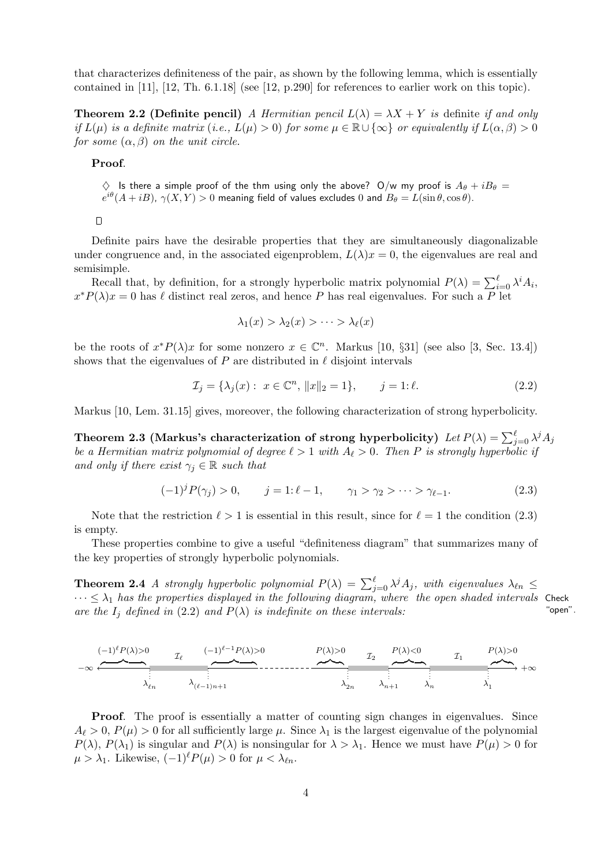that characterizes definiteness of the pair, as shown by the following lemma, which is essentially contained in [11], [12, Th. 6.1.18] (see [12, p.290] for references to earlier work on this topic).

**Theorem 2.2 (Definite pencil)** A Hermitian pencil  $L(\lambda) = \lambda X + Y$  is definite if and only if  $L(\mu)$  is a definite matrix (i.e.,  $L(\mu) > 0$ ) for some  $\mu \in \mathbb{R} \cup \{\infty\}$  or equivalently if  $L(\alpha, \beta) > 0$ for some  $(\alpha, \beta)$  on the unit circle.

Proof.

 $\diamondsuit$  Is there a simple proof of the thm using only the above? O/w my proof is  $A_{\theta} + iB_{\theta} =$  $e^{i\theta}(A+iB)$ ,  $\gamma(X,Y) > 0$  meaning field of values excludes 0 and  $B_\theta = L(\sin \theta, \cos \theta)$ .

 $\Box$ 

Definite pairs have the desirable properties that they are simultaneously diagonalizable under congruence and, in the associated eigenproblem,  $L(\lambda)x = 0$ , the eigenvalues are real and semisimple.

Recall that, by definition, for a strongly hyperbolic matrix polynomial  $P(\lambda) = \sum_{i=0}^{\ell} \lambda^i A_i$ ,  $x^*P(\lambda)x=0$  has  $\ell$  distinct real zeros, and hence P has real eigenvalues. For such a P let

$$
\lambda_1(x) > \lambda_2(x) > \cdots > \lambda_\ell(x)
$$

be the roots of  $x^*P(\lambda)x$  for some nonzero  $x \in \mathbb{C}^n$ . Markus [10, §31] (see also [3, Sec. 13.4]) shows that the eigenvalues of P are distributed in  $\ell$  disjoint intervals

$$
\mathcal{I}_j = \{\lambda_j(x) : x \in \mathbb{C}^n, \|x\|_2 = 1\}, \qquad j = 1:\ell.
$$
\n(2.2)

Markus [10, Lem. 31.15] gives, moreover, the following characterization of strong hyperbolicity.

Theorem 2.3 (Markus's characterization of strong hyperbolicity)  $\,Let\, P(\lambda) = \sum_{j=0}^\ell \lambda^j A_j$ be a Hermitian matrix polynomial of degree  $\ell > 1$  with  $A_{\ell} > 0$ . Then P is strongly hyperbolic if and only if there exist  $\gamma_i \in \mathbb{R}$  such that

$$
(-1)^{j} P(\gamma_{j}) > 0, \qquad j = 1: \ell - 1, \qquad \gamma_{1} > \gamma_{2} > \cdots > \gamma_{\ell - 1}.
$$
 (2.3)

Note that the restriction  $\ell > 1$  is essential in this result, since for  $\ell = 1$  the condition (2.3) is empty.

These properties combine to give a useful "definiteness diagram" that summarizes many of the key properties of strongly hyperbolic polynomials.

**Theorem 2.4** A strongly hyperbolic polynomial  $P(\lambda) = \sum_{j=0}^{\ell} \lambda^{j} A_j$ , with eigenvalues  $\lambda_{\ell n} \leq$  $\cdots \leq \lambda_1$  has the properties displayed in the following diagram, where the open shaded intervals Check<br>are the L defined in (2.2) and  $P(\lambda)$  is indefinite on these intervals: are the  $I_j$  defined in (2.2) and  $P(\lambda)$  is indefinite on these intervals:

−∞ +∞ I<sup>ℓ</sup> I<sup>2</sup> I<sup>1</sup> λℓn λ(ℓ−1)n+1 λ2<sup>n</sup> λn+1 λ<sup>n</sup> λ<sup>1</sup> z }| { P(λ)>0 z }| { P(λ)<0 z }| { P(λ)>0 z }| { (−1)ℓ−1P(λ)>0 z }| { (−1)ℓP(λ)>0

**Proof.** The proof is essentially a matter of counting sign changes in eigenvalues. Since  $A_{\ell} > 0$ ,  $P(\mu) > 0$  for all sufficiently large  $\mu$ . Since  $\lambda_1$  is the largest eigenvalue of the polynomial  $P(\lambda)$ ,  $P(\lambda_1)$  is singular and  $P(\lambda)$  is nonsingular for  $\lambda > \lambda_1$ . Hence we must have  $P(\mu) > 0$  for  $\mu > \lambda_1$ . Likewise,  $(-1)^{\ell} P(\mu) > 0$  for  $\mu < \lambda_{\ell n}$ .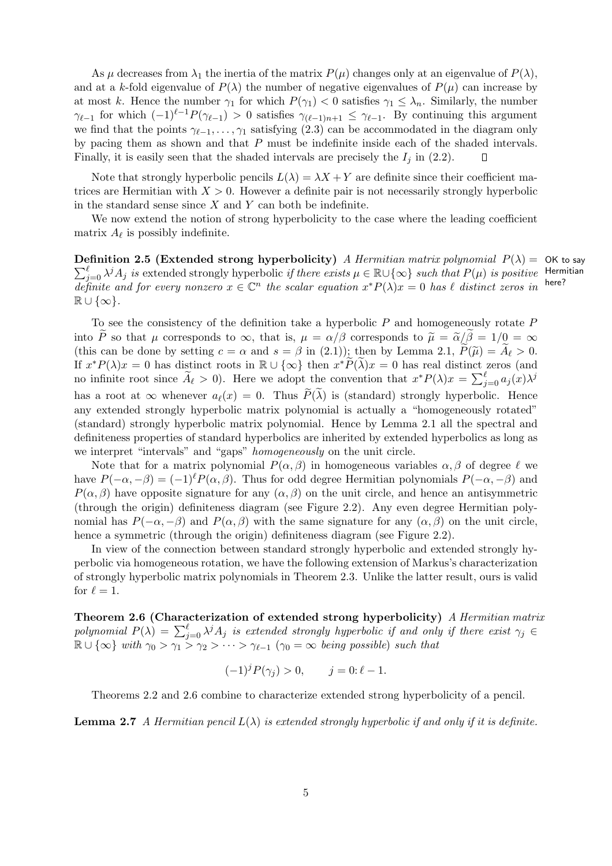As  $\mu$  decreases from  $\lambda_1$  the inertia of the matrix  $P(\mu)$  changes only at an eigenvalue of  $P(\lambda)$ , and at a k-fold eigenvalue of  $P(\lambda)$  the number of negative eigenvalues of  $P(\mu)$  can increase by at most k. Hence the number  $\gamma_1$  for which  $P(\gamma_1) < 0$  satisfies  $\gamma_1 \leq \lambda_n$ . Similarly, the number  $\gamma_{\ell-1}$  for which  $(-1)^{\ell-1}P(\gamma_{\ell-1}) > 0$  satisfies  $\gamma_{(\ell-1)n+1} \leq \gamma_{\ell-1}$ . By continuing this argument we find that the points  $\gamma_{\ell-1}, \ldots, \gamma_1$  satisfying (2.3) can be accommodated in the diagram only by pacing them as shown and that P must be indefinite inside each of the shaded intervals. Finally, it is easily seen that the shaded intervals are precisely the  $I_i$  in (2.2).  $\Box$ 

Note that strongly hyperbolic pencils  $L(\lambda) = \lambda X + Y$  are definite since their coefficient matrices are Hermitian with  $X > 0$ . However a definite pair is not necessarily strongly hyperbolic in the standard sense since  $X$  and  $Y$  can both be indefinite.

We now extend the notion of strong hyperbolicity to the case where the leading coefficient matrix  $A_{\ell}$  is possibly indefinite.

**Definition 2.5 (Extended strong hyperbolicity)** A Hermitian matrix polynomial  $P(\lambda) = O(K)$  to say Hermitian here?  $\sum_{j=0}^{\ell} \lambda^{j} A_{j}$  is extended strongly hyperbolic if there exists  $\mu \in \mathbb{R} \cup \{\infty\}$  such that  $P(\mu)$  is positive definite and for every nonzero  $x \in \mathbb{C}^n$  the scalar equation  $x^*P(\lambda)x = 0$  has  $\ell$  distinct zeros in  $\mathbb{R} \cup \{\infty\}.$ 

To see the consistency of the definition take a hyperbolic  $P$  and homogeneously rotate  $P$ into P so that  $\mu$  corresponds to  $\infty$ , that is,  $\mu = \alpha/\beta$  corresponds to  $\tilde{\mu} = \tilde{\alpha}/\beta = 1/0 = \infty$ (this can be done by setting  $c = \alpha$  and  $s = \beta$  in (2.1)); then by Lemma 2.1,  $\tilde{P}(\tilde{\mu}) = A_{\ell} > 0$ . If  $x^*P(\lambda)x = 0$  has distinct roots in  $\mathbb{R} \cup {\infty}$  then  $x^*\widetilde{P}(\widetilde{\lambda})x = 0$  has real distinct zeros (and no infinite root since  $\widetilde{A}_{\ell} > 0$ . Here we adopt the convention that  $x^* P(\lambda) x = \sum_{j=0}^{\ell} a_j(x) \lambda^j$ has a root at  $\infty$  whenever  $a_{\ell}(x) = 0$ . Thus  $\widetilde{P}(\lambda)$  is (standard) strongly hyperbolic. Hence any extended strongly hyperbolic matrix polynomial is actually a "homogeneously rotated" (standard) strongly hyperbolic matrix polynomial. Hence by Lemma 2.1 all the spectral and definiteness properties of standard hyperbolics are inherited by extended hyperbolics as long as we interpret "intervals" and "gaps" homogeneously on the unit circle.

Note that for a matrix polynomial  $P(\alpha, \beta)$  in homogeneous variables  $\alpha, \beta$  of degree  $\ell$  we have  $P(-\alpha, -\beta) = (-1)^{\ell} P(\alpha, \beta)$ . Thus for odd degree Hermitian polynomials  $P(-\alpha, -\beta)$  and  $P(\alpha, \beta)$  have opposite signature for any  $(\alpha, \beta)$  on the unit circle, and hence an antisymmetric (through the origin) definiteness diagram (see Figure 2.2). Any even degree Hermitian polynomial has  $P(-\alpha, -\beta)$  and  $P(\alpha, \beta)$  with the same signature for any  $(\alpha, \beta)$  on the unit circle, hence a symmetric (through the origin) definiteness diagram (see Figure 2.2).

In view of the connection between standard strongly hyperbolic and extended strongly hyperbolic via homogeneous rotation, we have the following extension of Markus's characterization of strongly hyperbolic matrix polynomials in Theorem 2.3. Unlike the latter result, ours is valid for  $\ell = 1$ .

Theorem 2.6 (Characterization of extended strong hyperbolicity) A Hermitian matrix polynomial  $P(\lambda) = \sum_{j=0}^{\ell} \lambda^{j} A_j$  is extended strongly hyperbolic if and only if there exist  $\gamma_j \in$  $\mathbb{R} \cup \{\infty\}$  with  $\gamma_0 > \gamma_1 > \gamma_2 > \cdots > \gamma_{\ell-1}$   $(\gamma_0 = \infty$  being possible) such that

$$
(-1)^j P(\gamma_j) > 0, \qquad j = 0: \ell - 1.
$$

Theorems 2.2 and 2.6 combine to characterize extended strong hyperbolicity of a pencil.

**Lemma 2.7** A Hermitian pencil  $L(\lambda)$  is extended strongly hyperbolic if and only if it is definite.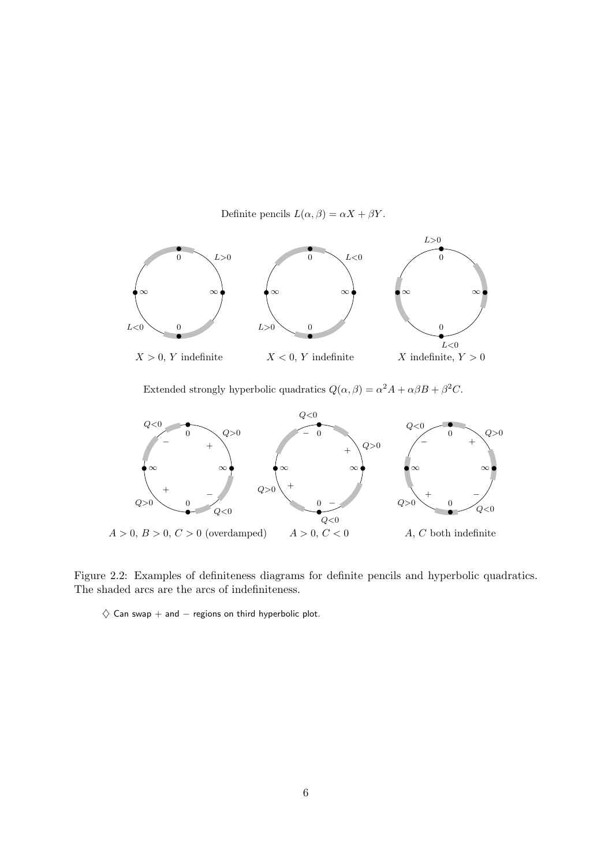Definite pencils  $L(\alpha, \beta) = \alpha X + \beta Y$ .



Extended strongly hyperbolic quadratics  $Q(\alpha, \beta) = \alpha^2 A + \alpha \beta B + \beta^2 C$ .



Figure 2.2: Examples of definiteness diagrams for definite pencils and hyperbolic quadratics. The shaded arcs are the arcs of indefiniteness.

 $\diamondsuit$  Can swap + and  $-$  regions on third hyperbolic plot.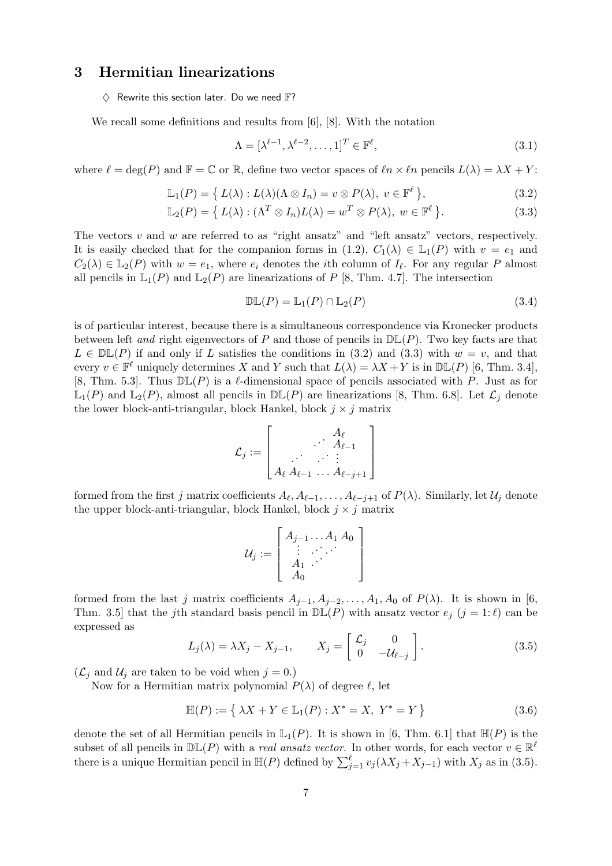# 3 Hermitian linearizations

 $\Diamond$  Rewrite this section later. Do we need  $\mathbb{F}$ ?

We recall some definitions and results from [6], [8]. With the notation

$$
\Lambda = [\lambda^{\ell-1}, \lambda^{\ell-2}, \dots, 1]^T \in \mathbb{F}^{\ell},\tag{3.1}
$$

where  $\ell = \deg(P)$  and  $\mathbb{F} = \mathbb{C}$  or  $\mathbb{R}$ , define two vector spaces of  $\ell n \times \ell n$  pencils  $L(\lambda) = \lambda X + Y$ :

$$
\mathbb{L}_1(P) = \{ L(\lambda) : L(\lambda)(\Lambda \otimes I_n) = v \otimes P(\lambda), \ v \in \mathbb{F}^\ell \},
$$
\n(3.2)

$$
\mathbb{L}_2(P) = \left\{ L(\lambda) : (\Lambda^T \otimes I_n)L(\lambda) = w^T \otimes P(\lambda), \ w \in \mathbb{F}^\ell \right\}.
$$
 (3.3)

The vectors  $v$  and  $w$  are referred to as "right ansatz" and "left ansatz" vectors, respectively. It is easily checked that for the companion forms in  $(1.2)$ ,  $C_1(\lambda) \in L_1(P)$  with  $v = e_1$  and  $C_2(\lambda) \in \mathbb{L}_2(P)$  with  $w = e_1$ , where  $e_i$  denotes the *i*th column of  $I_\ell$ . For any regular P almost all pencils in  $\mathbb{L}_1(P)$  and  $\mathbb{L}_2(P)$  are linearizations of P [8, Thm. 4.7]. The intersection

$$
\mathbb{DL}(P) = \mathbb{L}_1(P) \cap \mathbb{L}_2(P) \tag{3.4}
$$

is of particular interest, because there is a simultaneous correspondence via Kronecker products between left and right eigenvectors of P and those of pencils in  $\mathbb{DL}(P)$ . Two key facts are that  $L \in \mathbb{DL}(P)$  if and only if L satisfies the conditions in (3.2) and (3.3) with  $w = v$ , and that every  $v \in \mathbb{F}^{\ell}$  uniquely determines X and Y such that  $L(\lambda) = \lambda X + Y$  is in  $\mathbb{DL}(P)$  [6, Thm. 3.4], [8, Thm. 5.3]. Thus  $D\mathbb{L}(P)$  is a  $\ell$ -dimensional space of pencils associated with P. Just as for  $\mathbb{L}_1(P)$  and  $\mathbb{L}_2(P)$ , almost all pencils in  $\mathbb{DL}(P)$  are linearizations [8, Thm. 6.8]. Let  $\mathcal{L}_j$  denote the lower block-anti-triangular, block Hankel, block  $j \times j$  matrix

$$
\mathcal{L}_j := \left[\begin{matrix} A_{\ell} \\ \cdots \\ A_{\ell-1} \\ \vdots \\ A_{\ell} \ A_{\ell-1} \ \ldots \ A_{\ell-j+1} \end{matrix}\right]
$$

formed from the first j matrix coefficients  $A_\ell, A_{\ell-1},\ldots, A_{\ell-j+1}$  of  $P(\lambda)$ . Similarly, let  $\mathcal{U}_j$  denote the upper block-anti-triangular, block Hankel, block  $j \times j$  matrix

$$
\mathcal{U}_j := \left[ \begin{array}{c} A_{j-1} \dots A_1 A_0 \\ \vdots \\ A_1 \dots \\ A_0 \end{array} \right]
$$

formed from the last j matrix coefficients  $A_{j-1}, A_{j-2}, \ldots, A_1, A_0$  of  $P(\lambda)$ . It is shown in [6, Thm. 3.5] that the jth standard basis pencil in  $D\mathbb{L}(P)$  with ansatz vector  $e_i$   $(j = 1:\ell)$  can be expressed as

$$
L_j(\lambda) = \lambda X_j - X_{j-1}, \qquad X_j = \begin{bmatrix} \mathcal{L}_j & 0 \\ 0 & -\mathcal{U}_{\ell-j} \end{bmatrix}.
$$
 (3.5)

 $(\mathcal{L}_j \text{ and } \mathcal{U}_j \text{ are taken to be void when } j = 0.)$ 

Now for a Hermitian matrix polynomial  $P(\lambda)$  of degree  $\ell$ , let

$$
\mathbb{H}(P) := \{ \lambda X + Y \in \mathbb{L}_1(P) : X^* = X, Y^* = Y \}
$$
\n(3.6)

denote the set of all Hermitian pencils in  $\mathbb{L}_1(P)$ . It is shown in [6, Thm. 6.1] that  $\mathbb{H}(P)$  is the subset of all pencils in  $D\mathbb{L}(P)$  with a *real ansatz vector*. In other words, for each vector  $v \in \mathbb{R}^{\ell}$ there is a unique Hermitian pencil in  $\mathbb{H}(P)$  defined by  $\sum_{j=1}^{\ell} v_j(\lambda X_j + X_{j-1})$  with  $X_j$  as in (3.5).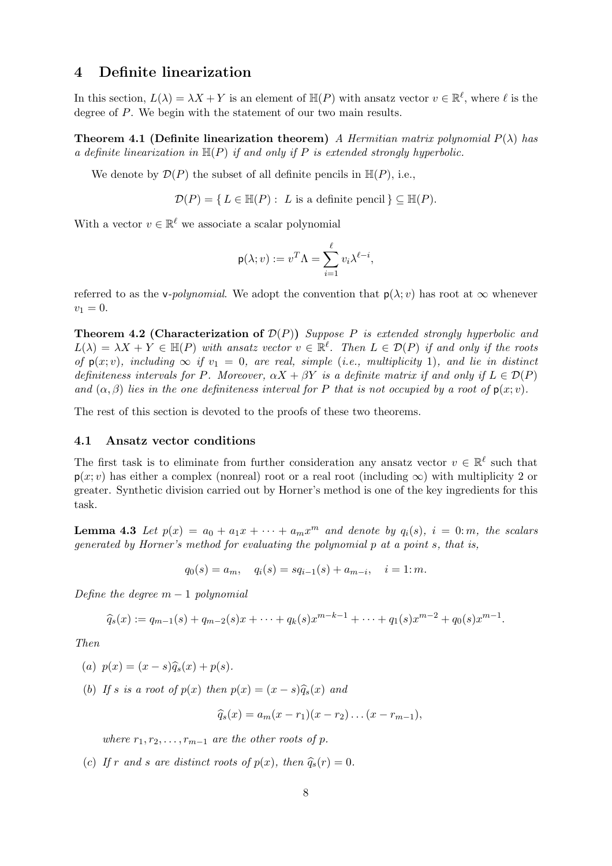### 4 Definite linearization

In this section,  $L(\lambda) = \lambda X + Y$  is an element of  $\mathbb{H}(P)$  with ansatz vector  $v \in \mathbb{R}^{\ell}$ , where  $\ell$  is the degree of P. We begin with the statement of our two main results.

**Theorem 4.1 (Definite linearization theorem)** A Hermitian matrix polynomial  $P(\lambda)$  has a definite linearization in  $\mathbb{H}(P)$  if and only if P is extended strongly hyperbolic.

We denote by  $\mathcal{D}(P)$  the subset of all definite pencils in  $\mathbb{H}(P)$ , i.e.,

$$
\mathcal{D}(P) = \{ L \in \mathbb{H}(P) : L \text{ is a definite pencil } \} \subseteq \mathbb{H}(P).
$$

With a vector  $v \in \mathbb{R}^{\ell}$  we associate a scalar polynomial

$$
p(\lambda; v) := v^T \Lambda = \sum_{i=1}^{\ell} v_i \lambda^{\ell - i},
$$

referred to as the v-*polynomial*. We adopt the convention that  $p(\lambda; v)$  has root at  $\infty$  whenever  $v_1 = 0.$ 

**Theorem 4.2 (Characterization of**  $\mathcal{D}(P)$ **)** Suppose P is extended strongly hyperbolic and  $L(\lambda) = \lambda X + Y \in \mathbb{H}(P)$  with ansatz vector  $v \in \mathbb{R}^{\ell}$ . Then  $L \in \mathcal{D}(P)$  if and only if the roots of  $p(x; v)$ , including  $\infty$  if  $v_1 = 0$ , are real, simple (i.e., multiplicity 1), and lie in distinct definiteness intervals for P. Moreover,  $\alpha X + \beta Y$  is a definite matrix if and only if  $L \in \mathcal{D}(P)$ and  $(\alpha, \beta)$  lies in the one definiteness interval for P that is not occupied by a root of  $p(x; v)$ .

The rest of this section is devoted to the proofs of these two theorems.

#### 4.1 Ansatz vector conditions

The first task is to eliminate from further consideration any ansatz vector  $v \in \mathbb{R}^{\ell}$  such that  $p(x; v)$  has either a complex (nonreal) root or a real root (including  $\infty$ ) with multiplicity 2 or greater. Synthetic division carried out by Horner's method is one of the key ingredients for this task.

**Lemma 4.3** Let  $p(x) = a_0 + a_1x + \cdots + a_mx^m$  and denote by  $q_i(s)$ ,  $i = 0$ : m, the scalars generated by Horner's method for evaluating the polynomial p at a point s, that is,

 $q_0(s) = a_m, \quad q_i(s) = sq_{i-1}(s) + a_{m-i}, \quad i = 1:m.$ 

Define the degree  $m-1$  polynomial

$$
\widehat{q}_s(x) := q_{m-1}(s) + q_{m-2}(s)x + \cdots + q_k(s)x^{m-k-1} + \cdots + q_1(s)x^{m-2} + q_0(s)x^{m-1}.
$$

Then

(a) 
$$
p(x) = (x - s)\hat{q}_s(x) + p(s)
$$
.

(b) If s is a root of  $p(x)$  then  $p(x) = (x - s)\hat{q}_s(x)$  and

$$
\widehat{q}_s(x) = a_m(x - r_1)(x - r_2) \dots (x - r_{m-1}),
$$

where  $r_1, r_2, \ldots, r_{m-1}$  are the other roots of p.

(c) If r and s are distinct roots of  $p(x)$ , then  $\hat{q}_s(r) = 0$ .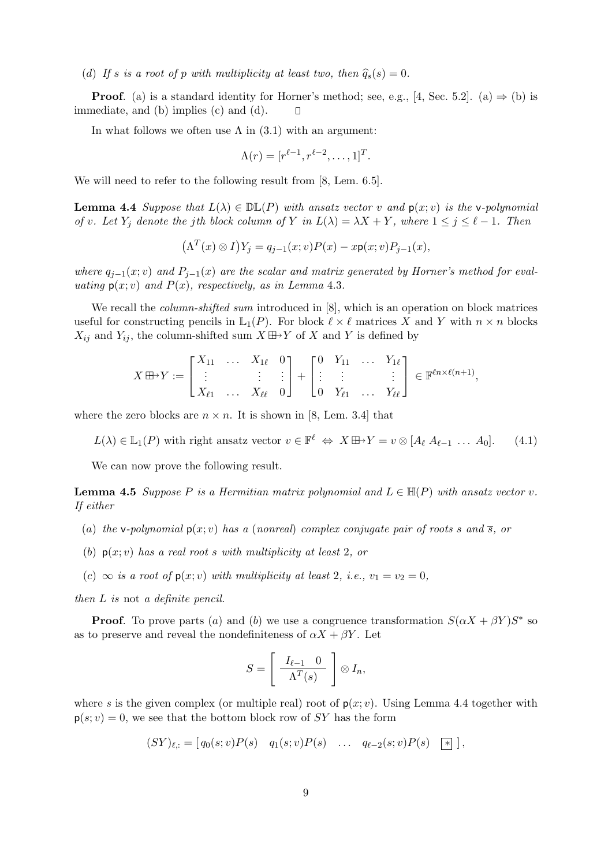(d) If s is a root of p with multiplicity at least two, then  $\hat{q}_s(s) = 0$ .

**Proof.** (a) is a standard identity for Horner's method; see, e.g., [4, Sec. 5.2]. (a)  $\Rightarrow$  (b) is immediate, and (b) implies (c) and (d). П

In what follows we often use  $\Lambda$  in (3.1) with an argument:

$$
\Lambda(r) = [r^{\ell-1}, r^{\ell-2}, \dots, 1]^T.
$$

We will need to refer to the following result from [8, Lem. 6.5].

**Lemma 4.4** Suppose that  $L(\lambda) \in \mathbb{DL}(P)$  with ansatz vector v and  $p(x; v)$  is the v-polynomial of v. Let  $Y_i$  denote the jth block column of Y in  $L(\lambda) = \lambda X + Y$ , where  $1 \leq j \leq \ell - 1$ . Then

$$
(\Lambda^T(x)\otimes I)Y_j=q_{j-1}(x;v)P(x)-x\mathsf{p}(x;v)P_{j-1}(x),
$$

where  $q_{i-1}(x; v)$  and  $P_{i-1}(x)$  are the scalar and matrix generated by Horner's method for evaluating  $p(x; v)$  and  $P(x)$ , respectively, as in Lemma 4.3.

We recall the *column-shifted sum* introduced in [8], which is an operation on block matrices useful for constructing pencils in  $\mathbb{L}_1(P)$ . For block  $\ell \times \ell$  matrices X and Y with  $n \times n$  blocks  $X_{ij}$  and  $Y_{ij}$ , the column-shifted sum  $X \boxplus Y$  of X and Y is defined by

$$
X \boxplus Y := \begin{bmatrix} X_{11} & \ldots & X_{1\ell} & 0 \\ \vdots & & \vdots & \vdots \\ X_{\ell 1} & \ldots & X_{\ell \ell} & 0 \end{bmatrix} + \begin{bmatrix} 0 & Y_{11} & \ldots & Y_{1\ell} \\ \vdots & \vdots & & \vdots \\ 0 & Y_{\ell 1} & \ldots & Y_{\ell \ell} \end{bmatrix} \in \mathbb{F}^{\ell n \times \ell (n+1)},
$$

where the zero blocks are  $n \times n$ . It is shown in [8, Lem. 3.4] that

 $L(\lambda) \in \mathbb{L}_1(P)$  with right ansatz vector  $v \in \mathbb{F}^{\ell} \iff X \boxplus Y = v \otimes [A_{\ell} \ A_{\ell-1} \ \dots \ A_0].$  (4.1)

We can now prove the following result.

**Lemma 4.5** Suppose P is a Hermitian matrix polynomial and  $L \in \mathbb{H}(P)$  with ansatz vector v. If either

- (a) the v-polynomial  $p(x; v)$  has a (nonreal) complex conjugate pair of roots s and  $\overline{s}$ , or
- (b)  $p(x; v)$  has a real root s with multiplicity at least 2, or
- (c)  $\infty$  is a root of  $p(x; v)$  with multiplicity at least 2, i.e.,  $v_1 = v_2 = 0$ ,

then L is not a definite pencil.

**Proof.** To prove parts (a) and (b) we use a congruence transformation  $S(\alpha X + \beta Y)S^*$  so as to preserve and reveal the nondefiniteness of  $\alpha X + \beta Y$ . Let

$$
S = \left[ \begin{array}{c} I_{\ell-1} & 0 \\ \hline \Lambda^T(s) \end{array} \right] \otimes I_n,
$$

where s is the given complex (or multiple real) root of  $p(x; v)$ . Using Lemma 4.4 together with  $p(s; v) = 0$ , we see that the bottom block row of SY has the form

$$
(SY)_{\ell,:} = [ q_0(s; v)P(s) \quad q_1(s; v)P(s) \quad \dots \quad q_{\ell-2}(s; v)P(s) \quad [*] \, ,
$$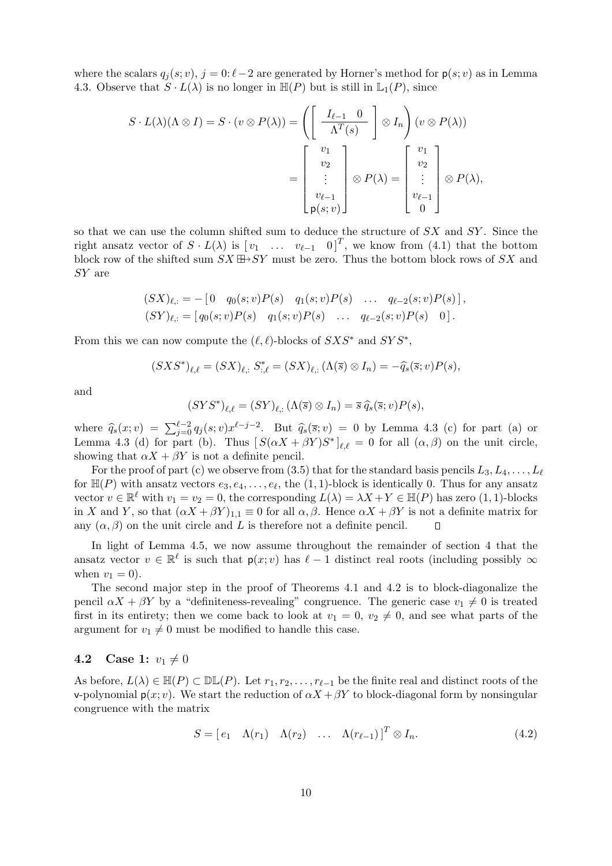where the scalars  $q_i(s; v)$ ,  $j = 0: \ell - 2$  are generated by Horner's method for  $p(s; v)$  as in Lemma 4.3. Observe that  $S \cdot L(\lambda)$  is no longer in  $\mathbb{H}(P)$  but is still in  $\mathbb{L}_1(P)$ , since

$$
S \cdot L(\lambda)(\Lambda \otimes I) = S \cdot (v \otimes P(\lambda)) = \left( \begin{bmatrix} I_{\ell-1} & 0 \\ \frac{I_{\ell-1}}{\Lambda^T(s)} \end{bmatrix} \otimes I_n \right) (v \otimes P(\lambda))
$$

$$
= \begin{bmatrix} v_1 \\ v_2 \\ \vdots \\ v_{\ell-1} \\ p(s; v) \end{bmatrix} \otimes P(\lambda) = \begin{bmatrix} v_1 \\ v_2 \\ \vdots \\ v_{\ell-1} \\ 0 \end{bmatrix} \otimes P(\lambda),
$$

so that we can use the column shifted sum to deduce the structure of SX and SY . Since the right ansatz vector of  $S \cdot L(\lambda)$  is  $[v_1 \dots v_{\ell-1} \ 0]^T$ , we know from (4.1) that the bottom block row of the shifted sum  $SX \boxplus \rightarrow SY$  must be zero. Thus the bottom block rows of SX and SY are

$$
(SX)_{\ell,:} = -[0 \quad q_0(s; v)P(s) \quad q_1(s; v)P(s) \quad \dots \quad q_{\ell-2}(s; v)P(s)],
$$
  
\n
$$
(SY)_{\ell,:} = [q_0(s; v)P(s) \quad q_1(s; v)P(s) \quad \dots \quad q_{\ell-2}(s; v)P(s) \quad 0].
$$

From this we can now compute the  $(\ell, \ell)$ -blocks of  $S X S^*$  and  $S Y S^*$ ,

$$
(SXS^*)_{\ell,\ell} = (SX)_{\ell,:} S^*_{:\ell} = (SX)_{\ell,:} (\Lambda(\overline{s}) \otimes I_n) = -\widehat{q}_s(\overline{s};v)P(s),
$$

and

$$
(SYS^*)_{\ell,\ell} = (SY)_{\ell,:} (\Lambda(\overline{s}) \otimes I_n) = \overline{s} \, \widehat{q}_s(\overline{s}; v) P(s),
$$

where  $\hat{q}_s(x; v) = \sum_{j=0}^{\ell-2} q_j(s; v) x^{\ell-j-2}$ . But  $\hat{q}_s(\bar{s}; v) = 0$  by Lemma 4.3 (c) for part (a) or Lemma 4.3 (d) for part (b). Thus  $[S(\alpha X + \beta Y)S^*]_{\ell,\ell} = 0$  for all  $(\alpha, \beta)$  on the unit circle, showing that  $\alpha X + \beta Y$  is not a definite pencil.

For the proof of part (c) we observe from (3.5) that for the standard basis pencils  $L_3, L_4, \ldots, L_\ell$ for  $\mathbb{H}(P)$  with ansatz vectors  $e_3, e_4, \ldots, e_\ell$ , the  $(1, 1)$ -block is identically 0. Thus for any ansatz vector  $v \in \mathbb{R}^{\ell}$  with  $v_1 = v_2 = 0$ , the corresponding  $L(\lambda) = \lambda X + Y \in \mathbb{H}(P)$  has zero  $(1, 1)$ -blocks in X and Y, so that  $(\alpha X + \beta Y)_{1,1} \equiv 0$  for all  $\alpha, \beta$ . Hence  $\alpha X + \beta Y$  is not a definite matrix for any  $(\alpha, \beta)$  on the unit circle and L is therefore not a definite pencil.  $\Box$ 

In light of Lemma 4.5, we now assume throughout the remainder of section 4 that the ansatz vector  $v \in \mathbb{R}^{\ell}$  is such that  $p(x; v)$  has  $\ell - 1$  distinct real roots (including possibly  $\infty$ when  $v_1 = 0$ ).

The second major step in the proof of Theorems 4.1 and 4.2 is to block-diagonalize the pencil  $\alpha X + \beta Y$  by a "definiteness-revealing" congruence. The generic case  $v_1 \neq 0$  is treated first in its entirety; then we come back to look at  $v_1 = 0$ ,  $v_2 \neq 0$ , and see what parts of the argument for  $v_1 \neq 0$  must be modified to handle this case.

#### 4.2 Case 1:  $v_1 \neq 0$

As before,  $L(\lambda) \in \mathbb{H}(P) \subset \mathbb{DL}(P)$ . Let  $r_1, r_2, \ldots, r_{\ell-1}$  be the finite real and distinct roots of the v-polynomial  $p(x; v)$ . We start the reduction of  $\alpha X + \beta Y$  to block-diagonal form by nonsingular congruence with the matrix

$$
S = [e_1 \quad \Lambda(r_1) \quad \Lambda(r_2) \quad \dots \quad \Lambda(r_{\ell-1})]^T \otimes I_n. \tag{4.2}
$$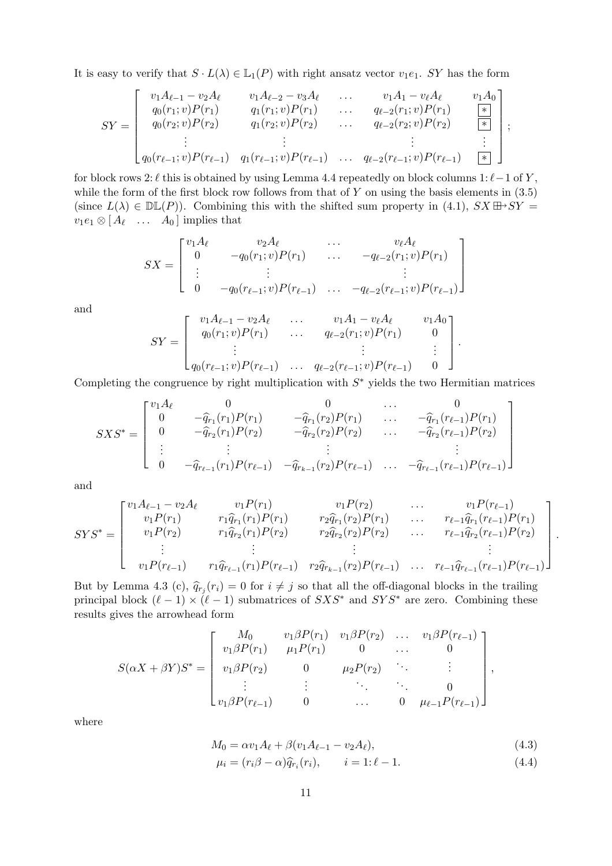It is easy to verify that  $S \cdot L(\lambda) \in \mathbb{L}_1(P)$  with right ansatz vector  $v_1e_1$ . SY has the form

$$
SY = \begin{bmatrix} v_1 A_{\ell-1} - v_2 A_{\ell} & v_1 A_{\ell-2} - v_3 A_{\ell} & \dots & v_1 A_1 - v_{\ell} A_{\ell} & v_1 A_0 \\ q_0(r_1; v) P(r_1) & q_1(r_1; v) P(r_1) & \dots & q_{\ell-2}(r_1; v) P(r_1) & \underline{*} \\ q_0(r_2; v) P(r_2) & q_1(r_2; v) P(r_2) & \dots & q_{\ell-2}(r_2; v) P(r_2) & \underline{*} \\ \vdots & \vdots & & \vdots & \vdots \\ q_0(r_{\ell-1}; v) P(r_{\ell-1}) & q_1(r_{\ell-1}; v) P(r_{\ell-1}) & \dots & q_{\ell-2}(r_{\ell-1}; v) P(r_{\ell-1}) & \underline{*} \end{bmatrix},
$$

for block rows 2:  $\ell$  this is obtained by using Lemma 4.4 repeatedly on block columns 1:  $\ell-1$  of Y, while the form of the first block row follows from that of  $Y$  on using the basis elements in  $(3.5)$ (since  $L(\lambda) \in \mathbb{DL}(P)$ ). Combining this with the shifted sum property in (4.1),  $SX \boxplus Y =$  $v_1e_1\otimes[A_\ell \quad \dots \quad A_0]$  implies that

$$
SX = \begin{bmatrix} v_1 A_{\ell} & v_2 A_{\ell} & \cdots & v_{\ell} A_{\ell} \\ 0 & -q_0(r_1; v)P(r_1) & \cdots & -q_{\ell-2}(r_1; v)P(r_1) \\ \vdots & \vdots & & \vdots \\ 0 & -q_0(r_{\ell-1}; v)P(r_{\ell-1}) & \cdots & -q_{\ell-2}(r_{\ell-1}; v)P(r_{\ell-1}) \end{bmatrix}
$$

and

$$
SY = \begin{bmatrix} v_1 A_{\ell-1} - v_2 A_{\ell} & \cdots & v_1 A_1 - v_{\ell} A_{\ell} & v_1 A_0 \\ q_0(r_1; v) P(r_1) & \cdots & q_{\ell-2}(r_1; v) P(r_1) & 0 \\ \vdots & \vdots & \vdots & \vdots \\ q_0(r_{\ell-1}; v) P(r_{\ell-1}) & \cdots & q_{\ell-2}(r_{\ell-1}; v) P(r_{\ell-1}) & 0 \end{bmatrix}.
$$

Completing the congruence by right multiplication with  $S^*$  yields the two Hermitian matrices

$$
SXS^* = \begin{bmatrix} v_1 A_{\ell} & 0 & 0 & \dots & 0 \\ 0 & -\widehat{q}_{r_1}(r_1)P(r_1) & -\widehat{q}_{r_1}(r_2)P(r_1) & \dots & -\widehat{q}_{r_1}(r_{\ell-1})P(r_1) \\ 0 & -\widehat{q}_{r_2}(r_1)P(r_2) & -\widehat{q}_{r_2}(r_2)P(r_2) & \dots & -\widehat{q}_{r_2}(r_{\ell-1})P(r_2) \\ \vdots & \vdots & \vdots & \vdots & \vdots \\ 0 & -\widehat{q}_{r_{\ell-1}}(r_1)P(r_{\ell-1}) & -\widehat{q}_{r_{k-1}}(r_2)P(r_{\ell-1}) & \dots & -\widehat{q}_{r_{\ell-1}}(r_{\ell-1})P(r_{\ell-1}) \end{bmatrix}
$$

and

$$
SYS^* = \begin{bmatrix} v_1 A_{\ell-1} - v_2 A_{\ell} & v_1 P(r_1) & v_1 P(r_2) & \dots & v_1 P(r_{\ell-1}) \\ v_1 P(r_1) & r_1 \hat{q}_{r_1}(r_1) P(r_1) & r_2 \hat{q}_{r_1}(r_2) P(r_1) & \dots & r_{\ell-1} \hat{q}_{r_1}(r_{\ell-1}) P(r_1) \\ v_1 P(r_2) & r_1 \hat{q}_{r_2}(r_1) P(r_2) & r_2 \hat{q}_{r_2}(r_2) P(r_2) & \dots & r_{\ell-1} \hat{q}_{r_2}(r_{\ell-1}) P(r_2) \\ \vdots & \vdots & \vdots & \vdots & \vdots \\ v_1 P(r_{\ell-1}) & r_1 \hat{q}_{r_{\ell-1}}(r_1) P(r_{\ell-1}) & r_2 \hat{q}_{r_{k-1}}(r_2) P(r_{\ell-1}) & \dots & r_{\ell-1} \hat{q}_{r_{\ell-1}}(r_{\ell-1}) P(r_{\ell-1}) \end{bmatrix}.
$$

But by Lemma 4.3 (c),  $\hat{q}_{rj}(r_i) = 0$  for  $i \neq j$  so that all the off-diagonal blocks in the trailing principal block  $(\ell-1) \times (\ell-1)$  submatrices of  $SXS^*$  and  $SYS^*$  are zero. Combining these results gives the arrowhead form

$$
S(\alpha X + \beta Y)S^* = \begin{bmatrix} M_0 & v_1\beta P(r_1) & v_1\beta P(r_2) & \dots & v_1\beta P(r_{\ell-1}) \\ v_1\beta P(r_1) & \mu_1 P(r_1) & 0 & \dots & 0 \\ v_1\beta P(r_2) & 0 & \mu_2 P(r_2) & \ddots & \vdots \\ \vdots & \vdots & \ddots & \ddots & 0 \\ v_1\beta P(r_{\ell-1}) & 0 & \dots & 0 & \mu_{\ell-1} P(r_{\ell-1}) \end{bmatrix},
$$

where

$$
M_0 = \alpha v_1 A_\ell + \beta (v_1 A_{\ell-1} - v_2 A_\ell), \tag{4.3}
$$

$$
\mu_i = (r_i \beta - \alpha) \widehat{q}_{r_i}(r_i), \qquad i = 1: \ell - 1.
$$
\n(4.4)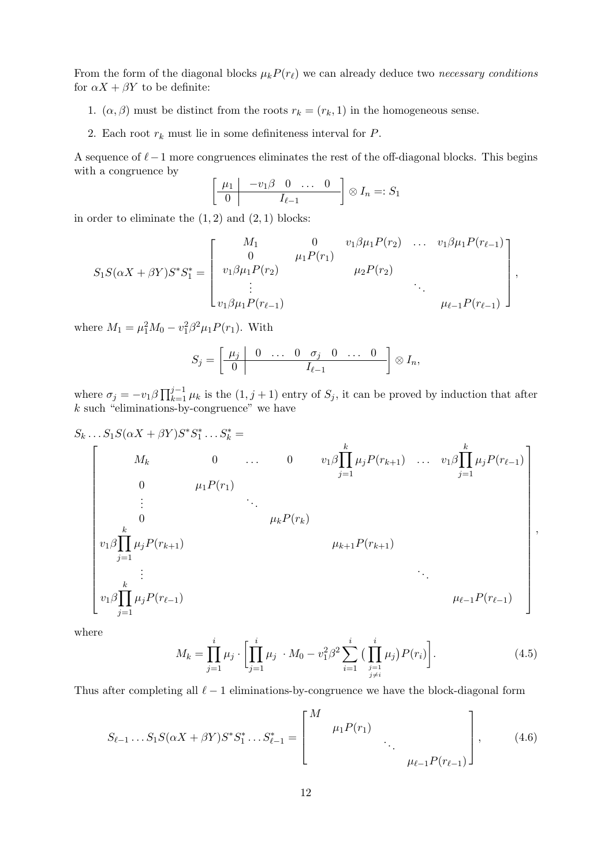From the form of the diagonal blocks  $\mu_k P(r_\ell)$  we can already deduce two *necessary conditions* for  $\alpha X + \beta Y$  to be definite:

- 1.  $(\alpha, \beta)$  must be distinct from the roots  $r_k = (r_k, 1)$  in the homogeneous sense.
- 2. Each root  $r_k$  must lie in some definiteness interval for  $P$ .

A sequence of  $\ell-1$  more congruences eliminates the rest of the off-diagonal blocks. This begins with a congruence by

$$
\left[\begin{array}{c|ccc} \mu_1 & -v_1\beta & 0 & \dots & 0 \\ \hline 0 & I_{\ell-1} & \end{array}\right] \otimes I_n =: S_1
$$

in order to eliminate the  $(1, 2)$  and  $(2, 1)$  blocks:

$$
S_1S(\alpha X + \beta Y)S^*S_1^* = \begin{bmatrix} M_1 & 0 & v_1\beta\mu_1P(r_2) & \dots & v_1\beta\mu_1P(r_{\ell-1}) \\ 0 & \mu_1P(r_1) & \mu_2P(r_2) & \vdots & \vdots & \ddots \\ v_1\beta\mu_1P(r_{\ell-1}) & & & \mu_{\ell-1}P(r_{\ell-1}) \end{bmatrix},
$$

where  $M_1 = \mu_1^2 M_0 - v_1^2 \beta^2 \mu_1 P(r_1)$ . With

$$
S_j=\left[\begin{array}{c|cccc} \mu_j & 0 & \ldots & 0 & \sigma_j & 0 & \ldots & 0 \\ \hline 0 & & & I_{\ell-1} & & \end{array}\right]\otimes I_n,
$$

where  $\sigma_j = -v_1 \beta \prod_{k=1}^{j-1} \mu_k$  is the  $(1, j+1)$  entry of  $S_j$ , it can be proved by induction that after  $k$  such "eliminations-by-congruence" we have

$$
S_{k} \dots S_{1}S(\alpha X + \beta Y)S^{*}S_{1}^{*} \dots S_{k}^{*} =
$$
\n
$$
\begin{bmatrix}\nM_{k} & 0 & \dots & 0 & v_{1}\beta \prod_{j=1}^{k} \mu_{j}P(r_{k+1}) & \dots & v_{1}\beta \prod_{j=1}^{k} \mu_{j}P(r_{\ell-1}) \\
0 & \mu_{1}P(r_{1}) & & & \\
\vdots & \ddots & \vdots & \vdots \\
0 & \mu_{k}P(r_{k}) & & \\
v_{1}\beta \prod_{j=1}^{k} \mu_{j}P(r_{k+1}) & & & \\
\vdots & \vdots & \ddots & \\
v_{1}\beta \prod_{j=1}^{k} \mu_{j}P(r_{\ell-1}) & & & \\
\vdots & \vdots & \ddots & \\
v_{1}\beta \prod_{j=1}^{k} \mu_{j}P(r_{\ell-1}) & & & \\
\end{bmatrix}
$$

where

$$
M_k = \prod_{j=1}^i \mu_j \cdot \left[ \prod_{j=1}^i \mu_j \cdot M_0 - v_1^2 \beta^2 \sum_{i=1}^i \left( \prod_{\substack{j=1 \ j \neq i}}^i \mu_j \right) P(r_i) \right]. \tag{4.5}
$$

,

Thus after completing all  $\ell - 1$  eliminations-by-congruence we have the block-diagonal form

$$
S_{\ell-1} \dots S_1 S(\alpha X + \beta Y) S^* S_1^* \dots S_{\ell-1}^* = \begin{bmatrix} M & & & \\ & \mu_1 P(r_1) & & \\ & & \ddots & \\ & & & \mu_{\ell-1} P(r_{\ell-1}) \end{bmatrix}, \quad (4.6)
$$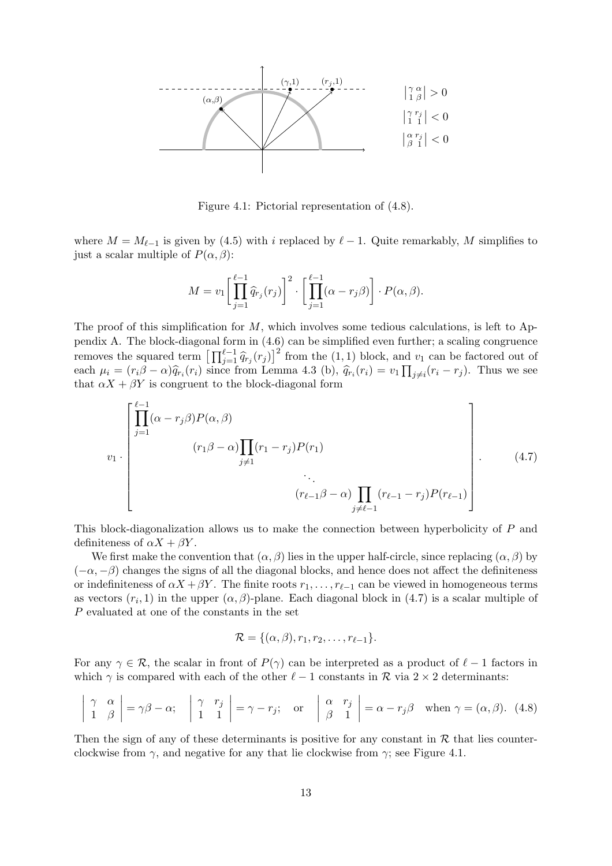

Figure 4.1: Pictorial representation of (4.8).

where  $M = M_{\ell-1}$  is given by (4.5) with i replaced by  $\ell - 1$ . Quite remarkably, M simplifies to just a scalar multiple of  $P(\alpha, \beta)$ :

$$
M = v_1 \left[ \prod_{j=1}^{\ell-1} \widehat{q}_{r_j}(r_j) \right]^2 \cdot \left[ \prod_{j=1}^{\ell-1} (\alpha - r_j \beta) \right] \cdot P(\alpha, \beta).
$$

The proof of this simplification for  $M$ , which involves some tedious calculations, is left to Appendix A. The block-diagonal form in (4.6) can be simplified even further; a scaling congruence removes the squared term  $\left[\prod_{j=1}^{\ell-1} \hat{q}_{r_j}(r_j)\right]^2$  from the (1, 1) block, and  $v_1$  can be factored out of each  $\mu_i = (r_i \beta - \alpha) \hat{q}_{r_i}(r_i)$  since from Lemma 4.3 (b),  $\hat{q}_{r_i}(r_i) = v_1 \prod_{j \neq i} (r_i - r_j)$ . Thus we see that  $\alpha X + \beta Y$  is congruent to the block-diagonal form

$$
v_{1} \cdot \begin{bmatrix} \prod_{j=1}^{\ell-1} (\alpha - r_{j}\beta)P(\alpha, \beta) \\ (r_{1}\beta - \alpha) \prod_{j \neq 1} (r_{1} - r_{j})P(r_{1}) \\ \vdots \\ (r_{\ell-1}\beta - \alpha) \prod_{j \neq \ell-1} (r_{\ell-1} - r_{j})P(r_{\ell-1}) \end{bmatrix} .
$$
 (4.7)

This block-diagonalization allows us to make the connection between hyperbolicity of P and definiteness of  $\alpha X + \beta Y$ .

We first make the convention that  $(\alpha, \beta)$  lies in the upper half-circle, since replacing  $(\alpha, \beta)$  by  $(-\alpha, -\beta)$  changes the signs of all the diagonal blocks, and hence does not affect the definiteness or indefiniteness of  $\alpha X + \beta Y$ . The finite roots  $r_1, \ldots, r_{\ell-1}$  can be viewed in homogeneous terms as vectors  $(r_i, 1)$  in the upper  $(\alpha, \beta)$ -plane. Each diagonal block in  $(4.7)$  is a scalar multiple of P evaluated at one of the constants in the set

$$
\mathcal{R} = \{(\alpha, \beta), r_1, r_2, \ldots, r_{\ell-1}\}.
$$

For any  $\gamma \in \mathcal{R}$ , the scalar in front of  $P(\gamma)$  can be interpreted as a product of  $\ell - 1$  factors in which  $\gamma$  is compared with each of the other  $\ell - 1$  constants in  $\mathcal R$  via  $2 \times 2$  determinants:

$$
\left|\begin{array}{cc} \gamma & \alpha \\ 1 & \beta \end{array}\right| = \gamma \beta - \alpha; \quad \left|\begin{array}{cc} \gamma & r_j \\ 1 & 1 \end{array}\right| = \gamma - r_j; \quad \text{or} \quad \left|\begin{array}{cc} \alpha & r_j \\ \beta & 1 \end{array}\right| = \alpha - r_j \beta \quad \text{when } \gamma = (\alpha, \beta). \tag{4.8}
$$

Then the sign of any of these determinants is positive for any constant in  $R$  that lies counterclockwise from  $\gamma$ , and negative for any that lie clockwise from  $\gamma$ ; see Figure 4.1.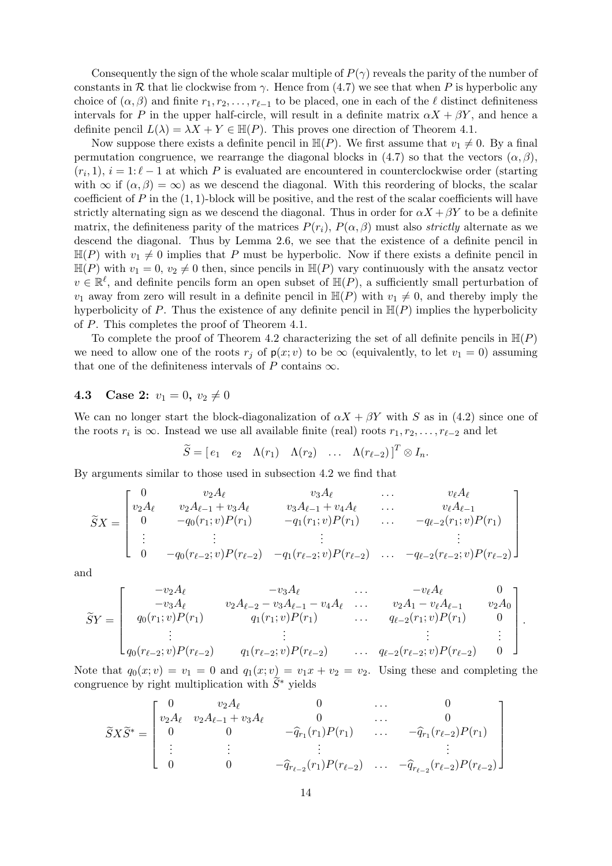Consequently the sign of the whole scalar multiple of  $P(\gamma)$  reveals the parity of the number of constants in R that lie clockwise from  $\gamma$ . Hence from (4.7) we see that when P is hyperbolic any choice of  $(\alpha, \beta)$  and finite  $r_1, r_2, \ldots, r_{\ell-1}$  to be placed, one in each of the  $\ell$  distinct definiteness intervals for P in the upper half-circle, will result in a definite matrix  $\alpha X + \beta Y$ , and hence a definite pencil  $L(\lambda) = \lambda X + Y \in \mathbb{H}(P)$ . This proves one direction of Theorem 4.1.

Now suppose there exists a definite pencil in  $\mathbb{H}(P)$ . We first assume that  $v_1 \neq 0$ . By a final permutation congruence, we rearrange the diagonal blocks in (4.7) so that the vectors  $(\alpha, \beta)$ ,  $(r_i, 1), i = 1: \ell - 1$  at which P is evaluated are encountered in counterclockwise order (starting with  $\infty$  if  $(\alpha, \beta) = \infty$ ) as we descend the diagonal. With this reordering of blocks, the scalar coefficient of P in the  $(1, 1)$ -block will be positive, and the rest of the scalar coefficients will have strictly alternating sign as we descend the diagonal. Thus in order for  $\alpha X + \beta Y$  to be a definite matrix, the definiteness parity of the matrices  $P(r_i)$ ,  $P(\alpha, \beta)$  must also *strictly* alternate as we descend the diagonal. Thus by Lemma 2.6, we see that the existence of a definite pencil in  $\mathbb{H}(P)$  with  $v_1 \neq 0$  implies that P must be hyperbolic. Now if there exists a definite pencil in  $\mathbb{H}(P)$  with  $v_1 = 0$ ,  $v_2 \neq 0$  then, since pencils in  $\mathbb{H}(P)$  vary continuously with the ansatz vector  $v \in \mathbb{R}^{\ell}$ , and definite pencils form an open subset of  $\mathbb{H}(P)$ , a sufficiently small perturbation of  $v_1$  away from zero will result in a definite pencil in  $\mathbb{H}(P)$  with  $v_1 \neq 0$ , and thereby imply the hyperbolicity of P. Thus the existence of any definite pencil in  $\mathbb{H}(P)$  implies the hyperbolicity of P. This completes the proof of Theorem 4.1.

To complete the proof of Theorem 4.2 characterizing the set of all definite pencils in  $\mathbb{H}(P)$ we need to allow one of the roots  $r_j$  of  $p(x; v)$  to be  $\infty$  (equivalently, to let  $v_1 = 0$ ) assuming that one of the definiteness intervals of P contains  $\infty$ .

#### 4.3 Case 2:  $v_1 = 0, v_2 \neq 0$

We can no longer start the block-diagonalization of  $\alpha X + \beta Y$  with S as in (4.2) since one of the roots  $r_i$  is  $\infty$ . Instead we use all available finite (real) roots  $r_1, r_2, \ldots, r_{\ell-2}$  and let

$$
\widetilde{S} = [e_1 \quad e_2 \quad \Lambda(r_1) \quad \Lambda(r_2) \quad \dots \quad \Lambda(r_{\ell-2})]^T \otimes I_n.
$$

By arguments similar to those used in subsection 4.2 we find that

$$
\widetilde{S}X = \begin{bmatrix}\n0 & v_2A_{\ell} & v_3A_{\ell} & \dots & v_{\ell}A_{\ell} \\
v_2A_{\ell} & v_2A_{\ell-1} + v_3A_{\ell} & v_3A_{\ell-1} + v_4A_{\ell} & \dots & v_{\ell}A_{\ell-1} \\
0 & -q_0(r_1; v)P(r_1) & -q_1(r_1; v)P(r_1) & \dots & -q_{\ell-2}(r_1; v)P(r_1) \\
\vdots & \vdots & \vdots & \vdots & \vdots \\
0 & -q_0(r_{\ell-2}; v)P(r_{\ell-2}) & -q_1(r_{\ell-2}; v)P(r_{\ell-2}) & \dots & -q_{\ell-2}(r_{\ell-2}; v)P(r_{\ell-2})\n\end{bmatrix}
$$

and

$$
\widetilde{S}Y = \begin{bmatrix}\n-v_2 A_{\ell} & -v_3 A_{\ell} & \cdots & -v_{\ell} A_{\ell} & 0 \\
-v_3 A_{\ell} & v_2 A_{\ell-2} - v_3 A_{\ell-1} - v_4 A_{\ell} & \cdots & v_2 A_1 - v_{\ell} A_{\ell-1} & v_2 A_0 \\
q_0(r_1; v)P(r_1) & q_1(r_1; v)P(r_1) & \cdots & q_{\ell-2}(r_1; v)P(r_1) & 0 \\
\vdots & \vdots & \ddots & \vdots & \vdots \\
q_0(r_{\ell-2}; v)P(r_{\ell-2}) & q_1(r_{\ell-2}; v)P(r_{\ell-2}) & \cdots & q_{\ell-2}(r_{\ell-2}; v)P(r_{\ell-2}) & 0\n\end{bmatrix}
$$

.

Note that  $q_0(x; v) = v_1 = 0$  and  $q_1(x; v) = v_1x + v_2 = v_2$ . Using these and completing the congruence by right multiplication with  $S^*$  yields

$$
\widetilde{S}X\widetilde{S}^* = \begin{bmatrix}\n0 & v_2A_{\ell} & 0 & \cdots & 0 \\
v_2A_{\ell} & v_2A_{\ell-1} + v_3A_{\ell} & 0 & \cdots & 0 \\
0 & 0 & -\widehat{q}_{r_1}(r_1)P(r_1) & \cdots & -\widehat{q}_{r_1}(r_{\ell-2})P(r_1) \\
\vdots & \vdots & \vdots & \vdots & \vdots \\
0 & 0 & -\widehat{q}_{r_{\ell-2}}(r_1)P(r_{\ell-2}) & \cdots & -\widehat{q}_{r_{\ell-2}}(r_{\ell-2})P(r_{\ell-2})\n\end{bmatrix}
$$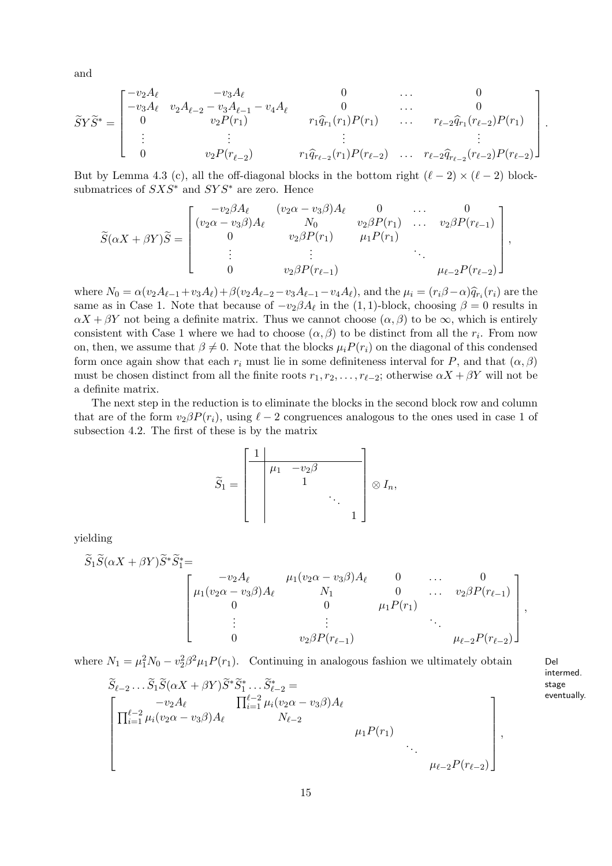and

$$
\widetilde{S}Y\widetilde{S}^* = \begin{bmatrix}\n-v_2A_{\ell} & -v_3A_{\ell} & 0 & \cdots & 0 \\
-v_3A_{\ell} & v_2A_{\ell-2} - v_3A_{\ell-1} - v_4A_{\ell} & 0 & \cdots & 0 \\
0 & v_2P(r_1) & r_1\widehat{q}_{r_1}(r_1)P(r_1) & \cdots & r_{\ell-2}\widehat{q}_{r_1}(r_{\ell-2})P(r_1) \\
\vdots & \vdots & \ddots & \vdots \\
0 & v_2P(r_{\ell-2}) & r_1\widehat{q}_{r_{\ell-2}}(r_1)P(r_{\ell-2}) & \cdots & r_{\ell-2}\widehat{q}_{r_{\ell-2}}(r_{\ell-2})P(r_{\ell-2})\n\end{bmatrix}
$$

But by Lemma 4.3 (c), all the off-diagonal blocks in the bottom right  $(\ell - 2) \times (\ell - 2)$  blocksubmatrices of  $SXS^*$  and  $SYS^*$  are zero. Hence

$$
\widetilde{S}(\alpha X + \beta Y)\widetilde{S} = \begin{bmatrix}\n-v_2\beta A_{\ell} & (v_2\alpha - v_3\beta)A_{\ell} & 0 & \dots & 0 \\
(v_2\alpha - v_3\beta)A_{\ell} & N_0 & v_2\beta P(r_1) & \dots & v_2\beta P(r_{\ell-1}) \\
0 & v_2\beta P(r_1) & \mu_1 P(r_1) & \dots & v_2\beta P(r_{\ell-1}) \\
\vdots & \vdots & \ddots & \vdots & \ddots \\
0 & v_2\beta P(r_{\ell-1}) & \mu_{\ell-2} P(r_{\ell-2})\n\end{bmatrix},
$$

where  $N_0 = \alpha (v_2 A_{\ell-1} + v_3 A_{\ell}) + \beta (v_2 A_{\ell-2} - v_3 A_{\ell-1} - v_4 A_{\ell})$ , and the  $\mu_i = (r_i \beta - \alpha) \hat{q}_{r_i}(r_i)$  are the same as in Case 1. Note that because of  $-v_2\beta A_\ell$  in the (1,1)-block, choosing  $\beta = 0$  results in  $\alpha X + \beta Y$  not being a definite matrix. Thus we cannot choose  $(\alpha, \beta)$  to be  $\infty$ , which is entirely consistent with Case 1 where we had to choose  $(\alpha, \beta)$  to be distinct from all the  $r_i$ . From now on, then, we assume that  $\beta \neq 0$ . Note that the blocks  $\mu_i P(r_i)$  on the diagonal of this condensed form once again show that each  $r_i$  must lie in some definiteness interval for P, and that  $(\alpha, \beta)$ must be chosen distinct from all the finite roots  $r_1, r_2, \ldots, r_{\ell-2}$ ; otherwise  $\alpha X + \beta Y$  will not be a definite matrix.

The next step in the reduction is to eliminate the blocks in the second block row and column that are of the form  $v_2\beta P(r_i)$ , using  $\ell-2$  congruences analogous to the ones used in case 1 of subsection 4.2. The first of these is by the matrix

$$
\widetilde{S}_1 = \begin{bmatrix} 1 & & & \\ & \mu_1 & -v_2\beta & & \\ & & 1 & & \\ & & & \ddots & \\ & & & & 1 \end{bmatrix} \otimes I_n,
$$

yielding

$$
\widetilde{S}_{1}\widetilde{S}(\alpha X+\beta Y)\widetilde{S}^{*}\widetilde{S}_{1}^{*}=\n\begin{bmatrix}\n-v_{2}A_{\ell} & \mu_{1}(v_{2}\alpha-v_{3}\beta)A_{\ell} & 0 & \cdots & 0 \\
\mu_{1}(v_{2}\alpha-v_{3}\beta)A_{\ell} & N_{1} & 0 & \cdots & v_{2}\beta P(r_{\ell-1}) \\
0 & 0 & \mu_{1}P(r_{1}) & \vdots & \vdots & \ddots \\
0 & v_{2}\beta P(r_{\ell-1}) & \mu_{\ell-2}P(r_{\ell-2})\n\end{bmatrix},
$$

where  $N_1 = \mu_1^2 N_0 - v_2^2 \beta^2 \mu_1 P(r_1)$ . Continuing in analogous fashion we ultimately obtain Del

$$
\widetilde{S}_{\ell-2} \dots \widetilde{S}_1 \widetilde{S}(\alpha X + \beta Y) \widetilde{S}^* \widetilde{S}_1^* \dots \widetilde{S}_{\ell-2}^* =
$$
\n
$$
\left[ \prod_{i=1}^{\ell-2} \mu_i (v_2 \alpha - v_3 \beta) A_\ell \right]_{\ell=1}^{\ell-2} \mu_i (v_2 \alpha - v_3 \beta) A_\ell
$$
\n
$$
\mu_1 P(r_1)
$$
\n
$$
\mu_2 P(r_{\ell-2})
$$

intermed. stage eventually.

.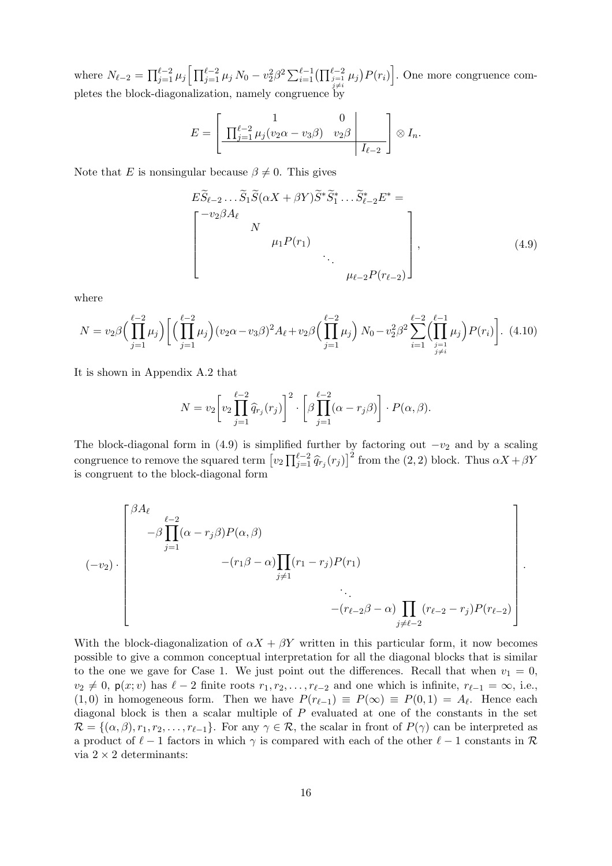where  $N_{\ell-2} = \prod_{j=1}^{\ell-2} \mu_j \left[ \prod_{j=1}^{\ell-2} \mu_j N_0 - v_2^2 \beta^2 \sum_{i=1}^{\ell-1} \left( \prod_{\substack{j=1 \ j \neq i}}^{\ell-2} \mu_j \right) P(r_i) \right]$ . One more congruence completes the block-diagonalization, namely congruence by

$$
E = \left[ \frac{1}{\prod_{j=1}^{\ell-2} \mu_j (v_2 \alpha - v_3 \beta)} \frac{0}{v_2 \beta} \right] \otimes I_n.
$$

Note that E is nonsingular because  $\beta \neq 0$ . This gives

$$
E\widetilde{S}_{\ell-2} \dots \widetilde{S}_1 \widetilde{S}(\alpha X + \beta Y) \widetilde{S}^* \widetilde{S}_1^* \dots \widetilde{S}_{\ell-2}^* E^* =
$$
\n
$$
\begin{bmatrix}\n-v_2 \beta A_\ell & & & \\
N & & \mu_1 P(r_1) & & \\
& & \ddots & \\
& & & \mu_{\ell-2} P(r_{\ell-2})\n\end{bmatrix},
$$
\n(4.9)

where

$$
N = v_2 \beta \left( \prod_{j=1}^{\ell-2} \mu_j \right) \left[ \left( \prod_{j=1}^{\ell-2} \mu_j \right) (v_2 \alpha - v_3 \beta)^2 A_\ell + v_2 \beta \left( \prod_{j=1}^{\ell-2} \mu_j \right) N_0 - v_2^2 \beta^2 \sum_{i=1}^{\ell-2} \left( \prod_{\substack{j=1 \ j \neq i}}^{\ell-1} \mu_j \right) P(r_i) \right]. \tag{4.10}
$$

It is shown in Appendix A.2 that

$$
N = v_2 \left[ v_2 \prod_{j=1}^{\ell-2} \widehat{q}_{r_j}(r_j) \right]^2 \cdot \left[ \beta \prod_{j=1}^{\ell-2} (\alpha - r_j \beta) \right] \cdot P(\alpha, \beta).
$$

The block-diagonal form in (4.9) is simplified further by factoring out  $-v_2$  and by a scaling congruence to remove the squared term  $[v_2 \prod_{j=1}^{\ell-2} \hat{q}_{r_j}(r_j)]^2$  from the  $(2, 2)$  block. Thus  $\alpha X + \beta Y$ is congruent to the block-diagonal form

$$
(-v_2) \cdot \begin{bmatrix} \beta A_{\ell} & & & & \\ & -\beta \prod_{j=1}^{2} (\alpha - r_j \beta) P(\alpha, \beta) & & & \\ & & - (r_1 \beta - \alpha) \prod_{j \neq 1} (r_1 - r_j) P(r_1) & & \\ & & \ddots & & \\ & & & - (r_{\ell-2} \beta - \alpha) \prod_{j \neq \ell-2} (r_{\ell-2} - r_j) P(r_{\ell-2}) \end{bmatrix}.
$$

With the block-diagonalization of  $\alpha X + \beta Y$  written in this particular form, it now becomes possible to give a common conceptual interpretation for all the diagonal blocks that is similar to the one we gave for Case 1. We just point out the differences. Recall that when  $v_1 = 0$ ,  $v_2 \neq 0$ ,  $p(x; v)$  has  $\ell - 2$  finite roots  $r_1, r_2, \ldots, r_{\ell-2}$  and one which is infinite,  $r_{\ell-1} = \infty$ , i.e.,  $(1,0)$  in homogeneous form. Then we have  $P(r_{\ell-1}) \equiv P(\infty) \equiv P(0,1) = A_{\ell}$ . Hence each diagonal block is then a scalar multiple of  $P$  evaluated at one of the constants in the set  $\mathcal{R} = \{(\alpha, \beta), r_1, r_2, \ldots, r_{\ell-1}\}.$  For any  $\gamma \in \mathcal{R}$ , the scalar in front of  $P(\gamma)$  can be interpreted as a product of  $\ell - 1$  factors in which  $\gamma$  is compared with each of the other  $\ell - 1$  constants in  $\mathcal{R}$ via  $2 \times 2$  determinants: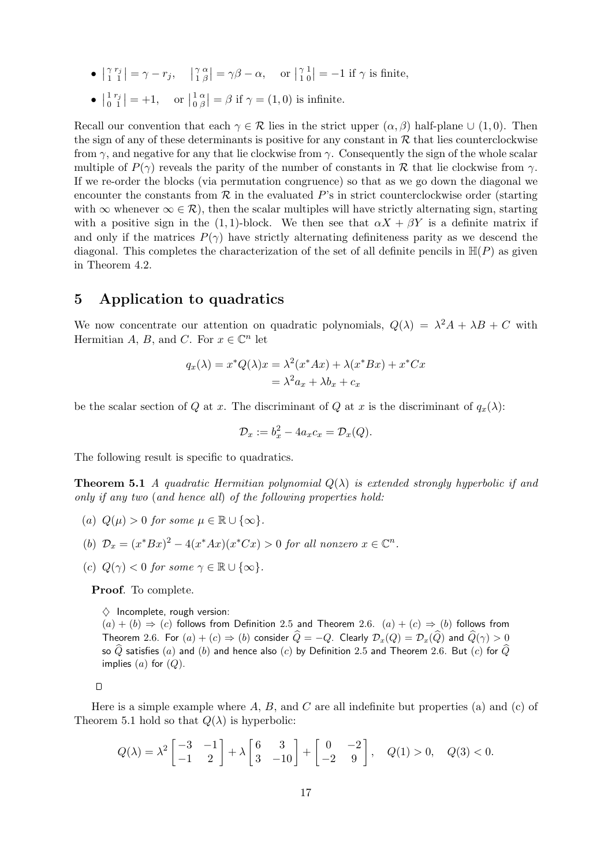- $\bullet$   $\vert \begin{array}{c} \gamma \\ 1 \end{array}$ 1 rj  $\begin{aligned} \hat{\mathbf{y}}_1^j \big| &= \gamma - r_j, \quad \big|_1^{\gamma} \end{aligned}$ 1 α  $\begin{bmatrix} \alpha \\ \beta \end{bmatrix} = \gamma \beta - \alpha, \quad \text{or } \begin{bmatrix} \gamma \\ 1 \end{bmatrix}$ 1 1  $\left|\frac{1}{0}\right| = -1$  if  $\gamma$  is finite,
- $\bullet$   $\begin{array}{c} 1 \\ 0 \end{array}$  $\boldsymbol{0}$ rj  $\begin{vmatrix} j \\ 1 \end{vmatrix} = +1, \text{ or } \begin{vmatrix} 1 \\ 0 \end{vmatrix}$ 0 α  $\left| \begin{array}{c} \alpha \\ \beta \end{array} \right| = \beta$  if  $\gamma = (1,0)$  is infinite.

Recall our convention that each  $\gamma \in \mathcal{R}$  lies in the strict upper  $(\alpha, \beta)$  half-plane  $\cup$  (1,0). Then the sign of any of these determinants is positive for any constant in  $R$  that lies counterclockwise from  $\gamma$ , and negative for any that lie clockwise from  $\gamma$ . Consequently the sign of the whole scalar multiple of  $P(\gamma)$  reveals the parity of the number of constants in R that lie clockwise from  $\gamma$ . If we re-order the blocks (via permutation congruence) so that as we go down the diagonal we encounter the constants from  $R$  in the evaluated  $P$ 's in strict counterclockwise order (starting with  $\infty$  whenever  $\infty \in \mathcal{R}$ ), then the scalar multiples will have strictly alternating sign, starting with a positive sign in the (1,1)-block. We then see that  $\alpha X + \beta Y$  is a definite matrix if and only if the matrices  $P(\gamma)$  have strictly alternating definiteness parity as we descend the diagonal. This completes the characterization of the set of all definite pencils in  $\mathbb{H}(P)$  as given in Theorem 4.2.

# 5 Application to quadratics

We now concentrate our attention on quadratic polynomials,  $Q(\lambda) = \lambda^2 A + \lambda B + C$  with Hermitian A, B, and C. For  $x \in \mathbb{C}^n$  let

$$
q_x(\lambda) = x^* Q(\lambda) x = \lambda^2 (x^* A x) + \lambda (x^* B x) + x^* C x
$$
  
=  $\lambda^2 a_x + \lambda b_x + c_x$ 

be the scalar section of Q at x. The discriminant of Q at x is the discriminant of  $q_x(\lambda)$ :

$$
\mathcal{D}_x := b_x^2 - 4a_x c_x = \mathcal{D}_x(Q).
$$

The following result is specific to quadratics.

**Theorem 5.1** A quadratic Hermitian polynomial  $Q(\lambda)$  is extended strongly hyperbolic if and only if any two (and hence all) of the following properties hold:

- (a)  $Q(\mu) > 0$  for some  $\mu \in \mathbb{R} \cup \{\infty\}.$
- (b)  $\mathcal{D}_x = (x^* B x)^2 4(x^* A x)(x^* C x) > 0$  for all nonzero  $x \in \mathbb{C}^n$ .
- (c)  $Q(\gamma) < 0$  for some  $\gamma \in \mathbb{R} \cup {\infty}$ .

Proof. To complete.

 $\diamond$  Incomplete, rough version:

 $(a) + (b) \Rightarrow (c)$  follows from Definition 2.5 and Theorem 2.6.  $(a) + (c) \Rightarrow (b)$  follows from Theorem 2.6. For  $(a) + (c) \Rightarrow (b)$  consider  $\widehat{Q} = -Q$ . Clearly  $\mathcal{D}_x(Q) = \mathcal{D}_x(\widehat{Q})$  and  $\widehat{Q}(\gamma) > 0$ so  $\widehat{Q}$  satisfies  $(a)$  and  $(b)$  and hence also  $(c)$  by Definition 2.5 and Theorem 2.6. But  $(c)$  for  $\widehat{Q}$ implies  $(a)$  for  $(Q)$ .

 $\Box$ 

Here is a simple example where  $A, B$ , and  $C$  are all indefinite but properties (a) and (c) of Theorem 5.1 hold so that  $Q(\lambda)$  is hyperbolic:

$$
Q(\lambda) = \lambda^2 \begin{bmatrix} -3 & -1 \\ -1 & 2 \end{bmatrix} + \lambda \begin{bmatrix} 6 & 3 \\ 3 & -10 \end{bmatrix} + \begin{bmatrix} 0 & -2 \\ -2 & 9 \end{bmatrix}, \quad Q(1) > 0, \quad Q(3) < 0.
$$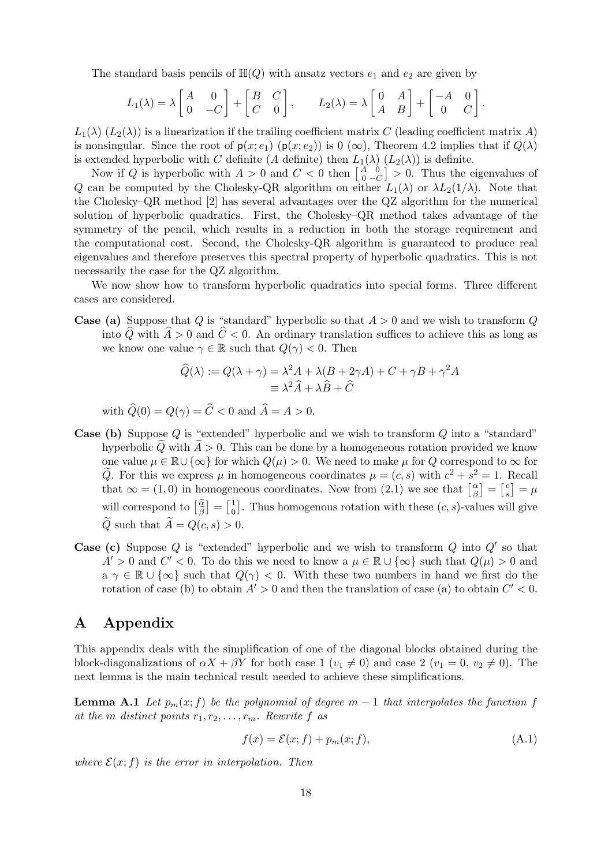The standard basis pencils of  $H(Q)$  with ansatz vectors  $e_1$  and  $e_2$  are given by

$$
L_1(\lambda) = \lambda \begin{bmatrix} A & 0 \\ 0 & -C \end{bmatrix} + \begin{bmatrix} B & C \\ C & 0 \end{bmatrix}, \qquad L_2(\lambda) = \lambda \begin{bmatrix} 0 & A \\ A & B \end{bmatrix} + \begin{bmatrix} -A & 0 \\ 0 & C \end{bmatrix}.
$$

 $L_1(\lambda)$  ( $L_2(\lambda)$ ) is a linearization if the trailing coefficient matrix C (leading coefficient matrix A) is nonsingular. Since the root of  $p(x; e_1)$  ( $p(x; e_2)$ ) is 0 ( $\infty$ ), Theorem 4.2 implies that if  $Q(\lambda)$ is extended hyperbolic with C definite (A definite) then  $L_1(\lambda)$   $(L_2(\lambda))$  is definite.

Now if Q is hyperbolic with  $A > 0$  and  $C < 0$  then  $\begin{bmatrix} A \\ 0 \end{bmatrix}$ 0  $\dot{0}$  $\begin{bmatrix} 0 \\ -C \end{bmatrix} > 0$ . Thus the eigenvalues of Q can be computed by the Cholesky-QR algorithm on either  $L_1(\lambda)$  or  $\lambda L_2(1/\lambda)$ . Note that the Cholesky–QR method [2] has several advantages over the QZ algorithm for the numerical solution of hyperbolic quadratics. First, the Cholesky–QR method takes advantage of the symmetry of the pencil, which results in a reduction in both the storage requirement and the computational cost. Second, the Cholesky-QR algorithm is guaranteed to produce real eigenvalues and therefore preserves this spectral property of hyperbolic quadratics. This is not necessarily the case for the QZ algorithm.

We now show how to transform hyperbolic quadratics into special forms. Three different cases are considered.

**Case (a)** Suppose that Q is "standard" hyperbolic so that  $A > 0$  and we wish to transform Q into  $\widehat{Q}$  with  $\widehat{A} > 0$  and  $\widehat{C} < 0$ . An ordinary translation suffices to achieve this as long as we know one value  $\gamma \in \mathbb{R}$  such that  $Q(\gamma) < 0$ . Then

$$
\widehat{Q}(\lambda) := Q(\lambda + \gamma) = \lambda^2 A + \lambda (B + 2\gamma A) + C + \gamma B + \gamma^2 A
$$
  

$$
\equiv \lambda^2 \widehat{A} + \lambda \widehat{B} + \widehat{C}
$$

with  $\widehat{Q}(0) = Q(\gamma) = \widehat{C} < 0$  and  $\widehat{A} = A > 0$ .

- Case (b) Suppose Q is "extended" hyperbolic and we wish to transform Q into a "standard" hyperbolic Q with  $A > 0$ . This can be done by a homogeneous rotation provided we know one value  $\mu \in \mathbb{R} \cup \{\infty\}$  for which  $Q(\mu) > 0$ . We need to make  $\mu$  for Q correspond to  $\infty$  for  $\tilde{Q}$ . For this we express  $\mu$  in homogeneous coordinates  $\mu = (c, s)$  with  $c^2 + s^2 = 1$ . Recall that  $\infty = (1,0)$  in homogeneous coordinates. Now from  $(2.1)$  we see that  $\begin{bmatrix} \alpha \\ \beta \end{bmatrix}$  $\begin{bmatrix} \alpha \\ \beta \end{bmatrix} = \begin{bmatrix} c \\ s \end{bmatrix}$  $\binom{c}{s} = \mu$ will correspond to  $\begin{bmatrix} \tilde{\alpha} \\ \tilde{\beta} \end{bmatrix} = \begin{bmatrix} 1 \\ 0 \end{bmatrix}$  $\begin{bmatrix} 1 \\ 0 \end{bmatrix}$ . Thus homogenous rotation with these  $(c, s)$ -values will give  $\widetilde{Q}$  such that  $\widetilde{A} = Q(c, s) > 0$ .
- **Case (c)** Suppose  $Q$  is "extended" hyperbolic and we wish to transform  $Q$  into  $Q'$  so that  $A' > 0$  and  $C' < 0$ . To do this we need to know a  $\mu \in \mathbb{R} \cup \{\infty\}$  such that  $Q(\mu) > 0$  and  $a \gamma \in \mathbb{R} \cup {\infty}$  such that  $Q(\gamma) < 0$ . With these two numbers in hand we first do the rotation of case (b) to obtain  $A' > 0$  and then the translation of case (a) to obtain  $C' < 0$ .

# A Appendix

This appendix deals with the simplification of one of the diagonal blocks obtained during the block-diagonalizations of  $\alpha X + \beta Y$  for both case 1  $(v_1 \neq 0)$  and case 2  $(v_1 = 0, v_2 \neq 0)$ . The next lemma is the main technical result needed to achieve these simplifications.

**Lemma A.1** Let  $p_m(x; f)$  be the polynomial of degree  $m - 1$  that interpolates the function f at the m distinct points  $r_1, r_2, \ldots, r_m$ . Rewrite f as

$$
f(x) = \mathcal{E}(x; f) + p_m(x; f), \tag{A.1}
$$

where  $\mathcal{E}(x; f)$  is the error in interpolation. Then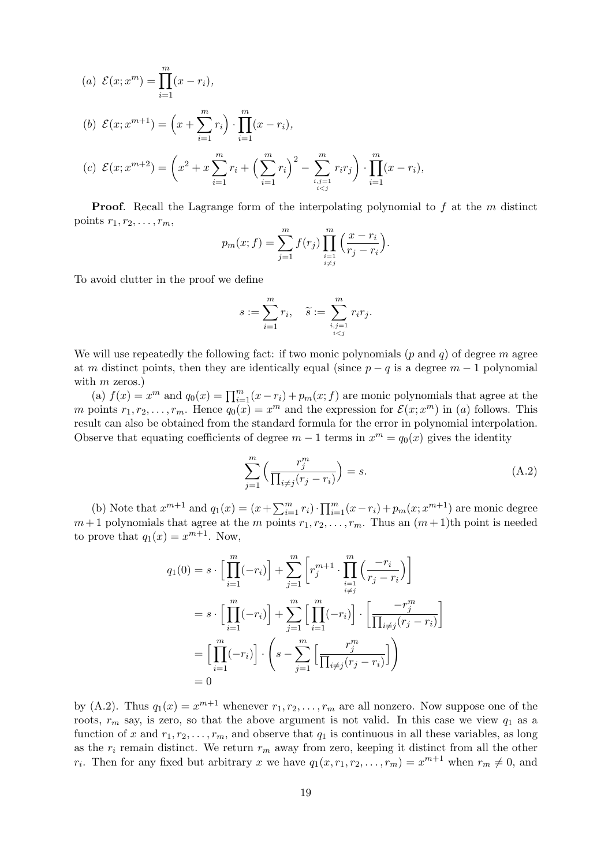(a) 
$$
\mathcal{E}(x; x^m) = \prod_{i=1}^m (x - r_i),
$$
  
\n(b)  $\mathcal{E}(x; x^{m+1}) = \left(x + \sum_{i=1}^m r_i\right) \cdot \prod_{i=1}^m (x - r_i),$   
\n(c)  $\mathcal{E}(x; x^{m+2}) = \left(x^2 + x \sum_{i=1}^m r_i + \left(\sum_{i=1}^m r_i\right)^2 - \sum_{\substack{i,j=1 \ i$ 

**Proof.** Recall the Lagrange form of the interpolating polynomial to  $f$  at the  $m$  distinct points  $r_1, r_2, \ldots, r_m$ ,

$$
p_m(x; f) = \sum_{j=1}^m f(r_j) \prod_{\substack{i=1 \ i \neq j}}^m \left( \frac{x - r_i}{r_j - r_i} \right).
$$

To avoid clutter in the proof we define

$$
s := \sum_{i=1}^{m} r_i, \quad \widetilde{s} := \sum_{\substack{i,j=1 \ i
$$

We will use repeatedly the following fact: if two monic polynomials  $(p \text{ and } q)$  of degree m agree at m distinct points, then they are identically equal (since  $p - q$  is a degree  $m - 1$  polynomial with  $m$  zeros.)

(a)  $f(x) = x^m$  and  $q_0(x) = \prod_{i=1}^m (x - r_i) + p_m(x; f)$  are monic polynomials that agree at the m points  $r_1, r_2, \ldots, r_m$ . Hence  $q_0(x) = x^m$  and the expression for  $\mathcal{E}(x; x^m)$  in (a) follows. This result can also be obtained from the standard formula for the error in polynomial interpolation. Observe that equating coefficients of degree  $m-1$  terms in  $x^m = q_0(x)$  gives the identity

$$
\sum_{j=1}^{m} \left( \frac{r_j^m}{\prod_{i \neq j} (r_j - r_i)} \right) = s.
$$
\n(A.2)

(b) Note that  $x^{m+1}$  and  $q_1(x) = (x + \sum_{i=1}^{m} r_i) \cdot \prod_{i=1}^{m} (x - r_i) + p_m(x; x^{m+1})$  are monic degree  $m+1$  polynomials that agree at the m points  $r_1, r_2, \ldots, r_m$ . Thus an  $(m+1)$ th point is needed to prove that  $q_1(x) = x^{m+1}$ . Now,

$$
q_1(0) = s \cdot \left[ \prod_{i=1}^m (-r_i) \right] + \sum_{j=1}^m \left[ r_j^{m+1} \cdot \prod_{\substack{i=1 \ i \neq j}}^m \left( \frac{-r_i}{r_j - r_i} \right) \right]
$$
  

$$
= s \cdot \left[ \prod_{i=1}^m (-r_i) \right] + \sum_{j=1}^m \left[ \prod_{i=1}^m (-r_i) \right] \cdot \left[ \frac{-r_j^m}{\prod_{i \neq j} (r_j - r_i)} \right]
$$
  

$$
= \left[ \prod_{i=1}^m (-r_i) \right] \cdot \left( s - \sum_{j=1}^m \left[ \frac{r_j^m}{\prod_{i \neq j} (r_j - r_i)} \right] \right)
$$
  

$$
= 0
$$

by (A.2). Thus  $q_1(x) = x^{m+1}$  whenever  $r_1, r_2, \ldots, r_m$  are all nonzero. Now suppose one of the roots,  $r_m$  say, is zero, so that the above argument is not valid. In this case we view  $q_1$  as a function of x and  $r_1, r_2, \ldots, r_m$ , and observe that  $q_1$  is continuous in all these variables, as long as the  $r_i$  remain distinct. We return  $r_m$  away from zero, keeping it distinct from all the other  $r_i$ . Then for any fixed but arbitrary x we have  $q_1(x, r_1, r_2, \ldots, r_m) = x^{m+1}$  when  $r_m \neq 0$ , and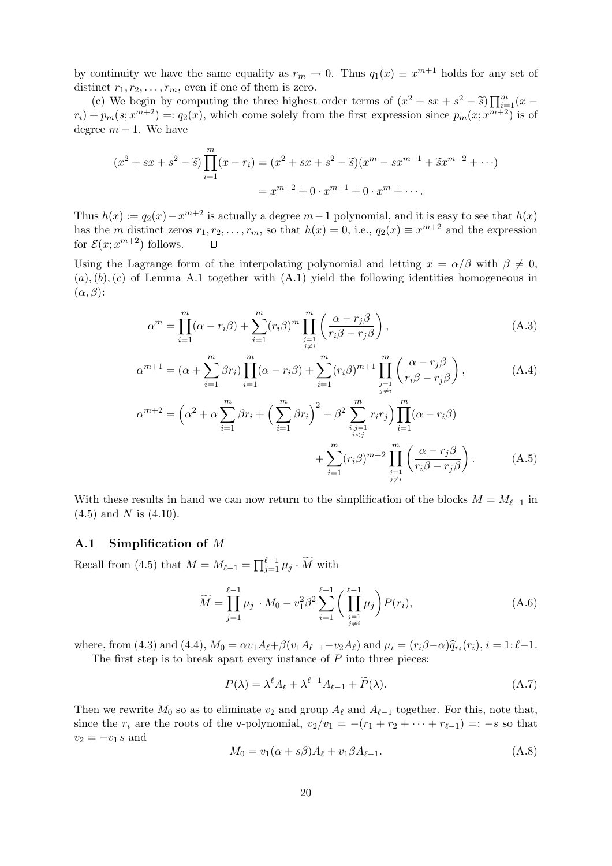by continuity we have the same equality as  $r_m \to 0$ . Thus  $q_1(x) \equiv x^{m+1}$  holds for any set of distinct  $r_1, r_2, \ldots, r_m$ , even if one of them is zero.

(c) We begin by computing the three highest order terms of  $(x^2 + sx + s^2 - \tilde{s}) \prod_{m=1}^{m} (x - \frac{m+2}{m+2})$  $r_i$  +  $p_m(s; x^{m+2}) =: q_2(x)$ , which come solely from the first expression since  $p_m(x; x^{m+2})$  is of degree  $m - 1$ . We have

$$
(x^{2} + sx + s^{2} - \tilde{s}) \prod_{i=1}^{m} (x - r_{i}) = (x^{2} + sx + s^{2} - \tilde{s})(x^{m} - sx^{m-1} + \tilde{s}x^{m-2} + \cdots)
$$

$$
= x^{m+2} + 0 \cdot x^{m+1} + 0 \cdot x^{m} + \cdots.
$$

Thus  $h(x) := q_2(x) - x^{m+2}$  is actually a degree  $m-1$  polynomial, and it is easy to see that  $h(x)$ has the m distinct zeros  $r_1, r_2, \ldots, r_m$ , so that  $h(x) = 0$ , i.e.,  $q_2(x) \equiv x^{m+2}$  and the expression for  $\mathcal{E}(x; x^{m+2})$  follows.  $\mathsf{\Pi}$ 

Using the Lagrange form of the interpolating polynomial and letting  $x = \alpha/\beta$  with  $\beta \neq 0$ ,  $(a), (b), (c)$  of Lemma A.1 together with  $(A.1)$  yield the following identities homogeneous in  $(\alpha, \beta)$ :

$$
\alpha^m = \prod_{i=1}^m (\alpha - r_i \beta) + \sum_{i=1}^m (r_i \beta)^m \prod_{\substack{j=1 \ j \neq i}}^m \left( \frac{\alpha - r_j \beta}{r_i \beta - r_j \beta} \right),\tag{A.3}
$$

$$
\alpha^{m+1} = (\alpha + \sum_{i=1}^{m} \beta r_i) \prod_{i=1}^{m} (\alpha - r_i \beta) + \sum_{i=1}^{m} (r_i \beta)^{m+1} \prod_{\substack{j=1 \ j \neq i}}^{m} \left( \frac{\alpha - r_j \beta}{r_i \beta - r_j \beta} \right),
$$
\n(A.4)\n
$$
\alpha^{m+2} = \left( \alpha^2 + \alpha \sum_{j=1}^{m} \beta r_j + \left( \sum_{j=1}^{m} \beta r_j \right)^2 - \beta^2 \sum_{j=1}^{m} r_i r_j \right) \prod_{j=1}^{m} (\alpha - r_i \beta)
$$

$$
r = \left(\alpha^2 + \alpha \sum_{i=1} \beta r_i + \left(\sum_{i=1} \beta r_i\right) - \beta^2 \sum_{\substack{i,j=1 \\ i < j}} r_i r_j\right) \prod_{i=1} (\alpha - r_i \beta) + \sum_{\substack{i=1 \\ i \neq i}}^m (r_i \beta)^{m+2} \prod_{\substack{j=1 \\ j \neq i}}^m \left(\frac{\alpha - r_j \beta}{r_i \beta - r_j \beta}\right). \tag{A.5}
$$

With these results in hand we can now return to the simplification of the blocks  $M = M_{\ell-1}$  in  $(4.5)$  and N is  $(4.10)$ .

#### A.1 Simplification of M

Recall from (4.5) that  $M = M_{\ell-1} = \prod_{j=1}^{\ell-1} \mu_j \cdot \widetilde{M}$  with

$$
\widetilde{M} = \prod_{j=1}^{\ell-1} \mu_j \cdot M_0 - v_1^2 \beta^2 \sum_{i=1}^{\ell-1} \left( \prod_{\substack{j=1 \ j \neq i}}^{\ell-1} \mu_j \right) P(r_i), \tag{A.6}
$$

where, from (4.3) and (4.4),  $M_0 = \alpha v_1 A_\ell + \beta (v_1 A_{\ell-1} - v_2 A_\ell)$  and  $\mu_i = (r_i \beta - \alpha) \hat{q}_{r_i}(r_i), i = 1: \ell-1$ .

The first step is to break apart every instance of  $P$  into three pieces:

$$
P(\lambda) = \lambda^{\ell} A_{\ell} + \lambda^{\ell-1} A_{\ell-1} + \widetilde{P}(\lambda).
$$
 (A.7)

Then we rewrite  $M_0$  so as to eliminate  $v_2$  and group  $A_\ell$  and  $A_{\ell-1}$  together. For this, note that, since the  $r_i$  are the roots of the v-polynomial,  $v_2/v_1 = -(r_1 + r_2 + \cdots + r_{\ell-1}) = -s$  so that  $v_2 = -v_1 s$  and

$$
M_0 = v_1(\alpha + s\beta)A_\ell + v_1\beta A_{\ell-1}.
$$
\n(A.8)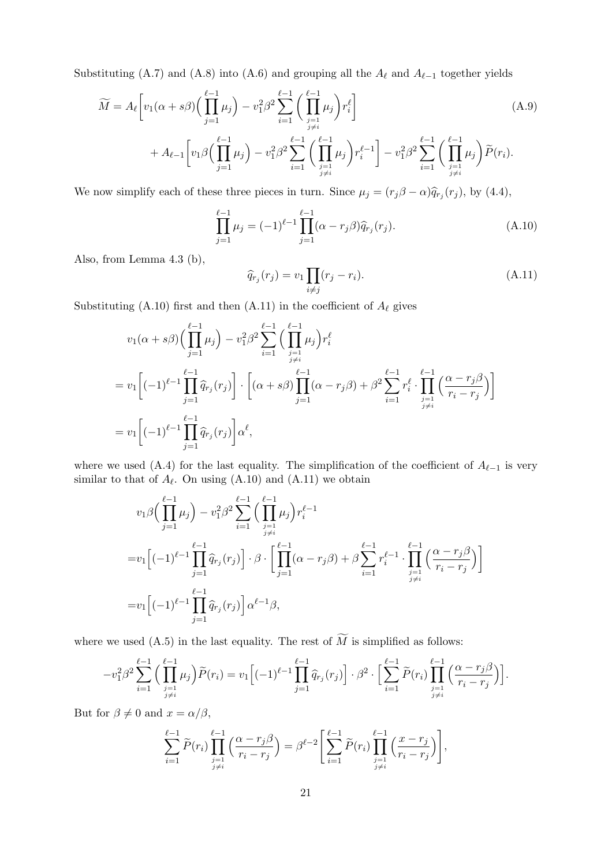Substituting (A.7) and (A.8) into (A.6) and grouping all the  $A_{\ell}$  and  $A_{\ell-1}$  together yields

$$
\widetilde{M} = A_{\ell} \left[ v_1(\alpha + s\beta) \Big( \prod_{j=1}^{\ell-1} \mu_j \Big) - v_1^2 \beta^2 \sum_{i=1}^{\ell-1} \Big( \prod_{\substack{j=1 \ j \neq i}}^{\ell-1} \mu_j \Big) r_i^{\ell} \right] + A_{\ell-1} \left[ v_1 \beta \Big( \prod_{j=1}^{\ell-1} \mu_j \Big) - v_1^2 \beta^2 \sum_{i=1}^{\ell-1} \Big( \prod_{\substack{j=1 \ j \neq i}}^{\ell-1} \mu_j \Big) r_i^{\ell-1} \right] - v_1^2 \beta^2 \sum_{i=1}^{\ell-1} \Big( \prod_{\substack{j=1 \ j \neq i}}^{\ell-1} \mu_j \Big) \widetilde{P}(r_i).
$$
\n(A.9)

We now simplify each of these three pieces in turn. Since  $\mu_j = (r_j \beta - \alpha) \hat{q}_{r_j}(r_j)$ , by (4.4),

$$
\prod_{j=1}^{\ell-1} \mu_j = (-1)^{\ell-1} \prod_{j=1}^{\ell-1} (\alpha - r_j \beta) \widehat{q}_{r_j}(r_j).
$$
\n(A.10)

Also, from Lemma 4.3 (b),

$$
\widehat{q}_{r_j}(r_j) = v_1 \prod_{i \neq j} (r_j - r_i). \tag{A.11}
$$

Substituting (A.10) first and then (A.11) in the coefficient of  $A_{\ell}$  gives

$$
v_1(\alpha + s\beta) \Big( \prod_{j=1}^{\ell-1} \mu_j \Big) - v_1^2 \beta^2 \sum_{i=1}^{\ell-1} \Big( \prod_{\substack{j=1 \ j \neq i}}^{\ell-1} \mu_j \Big) r_i^{\ell}
$$
  
= 
$$
v_1 \Big[ (-1)^{\ell-1} \prod_{j=1}^{\ell-1} \widehat{q}_{r_j}(r_j) \Big] \cdot \Big[ (\alpha + s\beta) \prod_{j=1}^{\ell-1} (\alpha - r_j\beta) + \beta^2 \sum_{i=1}^{\ell-1} r_i^{\ell} \cdot \prod_{\substack{j=1 \ j \neq i}}^{\ell-1} \Big( \frac{\alpha - r_j\beta}{r_i - r_j} \Big) \Big]
$$
  
= 
$$
v_1 \Big[ (-1)^{\ell-1} \prod_{j=1}^{\ell-1} \widehat{q}_{r_j}(r_j) \Big] \alpha^{\ell},
$$

where we used (A.4) for the last equality. The simplification of the coefficient of  $A_{\ell-1}$  is very similar to that of  $A_{\ell}$ . On using  $(A.10)$  and  $(A.11)$  we obtain

$$
v_1 \beta \Big( \prod_{j=1}^{\ell-1} \mu_j \Big) - v_1^2 \beta^2 \sum_{i=1}^{\ell-1} \Big( \prod_{\substack{j=1 \ j \neq i}}^{\ell-1} \mu_j \Big) r_i^{\ell-1}
$$
  
= 
$$
v_1 \Big[ (-1)^{\ell-1} \prod_{j=1}^{\ell-1} \widehat{q}_{r_j}(r_j) \Big] \cdot \beta \cdot \Big[ \prod_{j=1}^{\ell-1} (\alpha - r_j \beta) + \beta \sum_{i=1}^{\ell-1} r_i^{\ell-1} \cdot \prod_{\substack{j=1 \ j \neq i}}^{\ell-1} \Big( \frac{\alpha - r_j \beta}{r_i - r_j} \Big) \Big]
$$
  
= 
$$
v_1 \Big[ (-1)^{\ell-1} \prod_{j=1}^{\ell-1} \widehat{q}_{r_j}(r_j) \Big] \alpha^{\ell-1} \beta,
$$

where we used (A.5) in the last equality. The rest of  $\widetilde{M}$  is simplified as follows:

$$
-v_1^2 \beta^2 \sum_{i=1}^{\ell-1} \Big( \prod_{\substack{j=1 \ j \neq i}}^{\ell-1} \mu_j \Big) \widetilde{P}(r_i) = v_1 \Big[ (-1)^{\ell-1} \prod_{j=1}^{\ell-1} \widehat{q}_{r_j}(r_j) \Big] \cdot \beta^2 \cdot \Big[ \sum_{i=1}^{\ell-1} \widetilde{P}(r_i) \prod_{\substack{j=1 \ j \neq i}}^{\ell-1} \Big( \frac{\alpha - r_j \beta}{r_i - r_j} \Big) \Big].
$$

But for  $\beta \neq 0$  and  $x = \alpha/\beta$ ,

$$
\sum_{i=1}^{\ell-1} \widetilde{P}(r_i) \prod_{\substack{j=1 \ j \neq i}}^{\ell-1} \left( \frac{\alpha - r_j \beta}{r_i - r_j} \right) = \beta^{\ell-2} \left[ \sum_{i=1}^{\ell-1} \widetilde{P}(r_i) \prod_{\substack{j=1 \ j \neq i}}^{\ell-1} \left( \frac{x - r_j}{r_i - r_j} \right) \right],
$$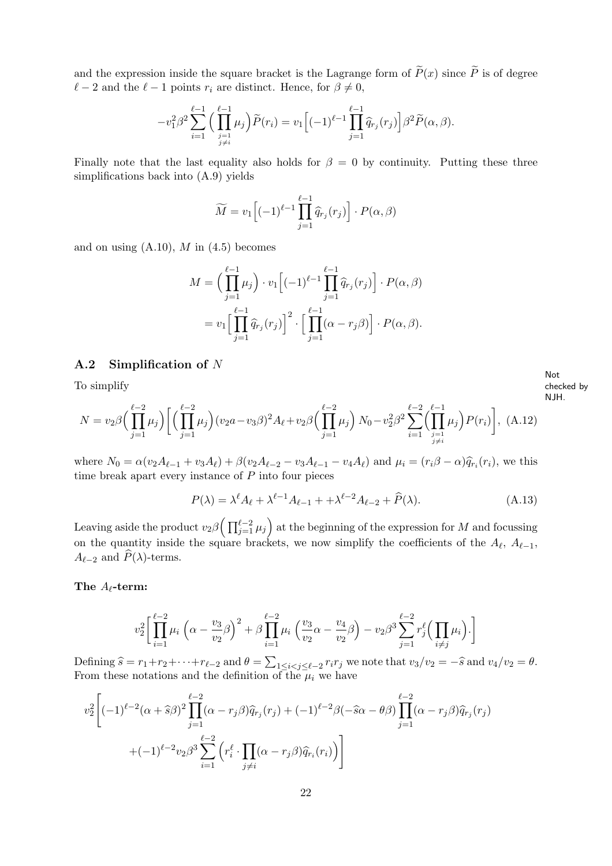and the expression inside the square bracket is the Lagrange form of  $\tilde{P}(x)$  since  $\tilde{P}$  is of degree  $\ell - 2$  and the  $\ell - 1$  points  $r_i$  are distinct. Hence, for  $\beta \neq 0$ ,

$$
-v_1^2\beta^2\sum_{i=1}^{\ell-1}\Big(\prod_{\substack{j=1\\j\neq i}}^{\ell-1}\mu_j\Big)\widetilde{P}(r_i)=v_1\Big[(-1)^{\ell-1}\prod_{j=1}^{\ell-1}\widehat{q}_{r_j}(r_j)\Big]\beta^2\widetilde{P}(\alpha,\beta).
$$

Finally note that the last equality also holds for  $\beta = 0$  by continuity. Putting these three simplifications back into (A.9) yields

$$
\widetilde{M} = v_1 \Big[ (-1)^{\ell-1} \prod_{j=1}^{\ell-1} \widehat{q}_{r_j}(r_j) \Big] \cdot P(\alpha, \beta)
$$

and on using  $(A.10)$ , M in  $(4.5)$  becomes

$$
M = \left(\prod_{j=1}^{\ell-1} \mu_j\right) \cdot v_1 \left[(-1)^{\ell-1} \prod_{j=1}^{\ell-1} \widehat{q}_{r_j}(r_j)\right] \cdot P(\alpha, \beta)
$$
  
= 
$$
v_1 \left[\prod_{j=1}^{\ell-1} \widehat{q}_{r_j}(r_j)\right]^2 \cdot \left[\prod_{j=1}^{\ell-1} (\alpha - r_j \beta)\right] \cdot P(\alpha, \beta).
$$

#### A.2 Simplification of N

To simplify

Not checked by NJH.

$$
N = v_2 \beta \Big( \prod_{j=1}^{\ell-2} \mu_j \Big) \Big[ \Big( \prod_{j=1}^{\ell-2} \mu_j \Big) (v_2 a - v_3 \beta)^2 A_\ell + v_2 \beta \Big( \prod_{j=1}^{\ell-2} \mu_j \Big) N_0 - v_2^2 \beta^2 \sum_{i=1}^{\ell-2} \Big( \prod_{\substack{j=1 \ j \neq i}}^{\ell-1} \mu_j \Big) P(r_i) \Big], \ (A.12)
$$

where  $N_0 = \alpha (v_2 A_{\ell-1} + v_3 A_{\ell}) + \beta (v_2 A_{\ell-2} - v_3 A_{\ell-1} - v_4 A_{\ell})$  and  $\mu_i = (r_i \beta - \alpha) \hat{q}_{r_i}(r_i)$ , we this time break apart every instance of  $P$  into four pieces

$$
P(\lambda) = \lambda^{\ell} A_{\ell} + \lambda^{\ell-1} A_{\ell-1} + \lambda^{\ell-2} A_{\ell-2} + \widehat{P}(\lambda).
$$
 (A.13)

Leaving aside the product  $v_2\beta\Big(\prod_{j=1}^{\ell-2}\mu_j\Big)$  at the beginning of the expression for  $M$  and focussing on the quantity inside the square brackets, we now simplify the coefficients of the  $A_{\ell}, A_{\ell-1},$  $A_{\ell-2}$  and  $\widehat{P}(\lambda)$ -terms.

#### The  $A_{\ell}$ -term:

$$
v_2^2 \bigg[ \prod_{i=1}^{\ell-2} \mu_i \left( \alpha - \frac{v_3}{v_2} \beta \right)^2 + \beta \prod_{i=1}^{\ell-2} \mu_i \left( \frac{v_3}{v_2} \alpha - \frac{v_4}{v_2} \beta \right) - v_2 \beta^3 \sum_{j=1}^{\ell-2} r_j^{\ell} \left( \prod_{i \neq j} \mu_i \right) \cdot \bigg]
$$

Defining  $\widehat{s} = r_1 + r_2 + \cdots + r_{\ell-2}$  and  $\theta = \sum_{1 \leq i < j \leq \ell-2} r_i r_j$  we note that  $v_3/v_2 = -\widehat{s}$  and  $v_4/v_2 = \theta$ . From these notations and the definition of the  $\mu_i$  we have

$$
v_2^2 \left[ (-1)^{\ell-2} (\alpha + \widehat{s}\beta)^2 \prod_{j=1}^{\ell-2} (\alpha - r_j \beta) \widehat{q}_{r_j}(r_j) + (-1)^{\ell-2} \beta (-\widehat{s}\alpha - \theta \beta) \prod_{j=1}^{\ell-2} (\alpha - r_j \beta) \widehat{q}_{r_j}(r_j) + (-1)^{\ell-2} v_{2\beta}^3 \sum_{i=1}^{\ell-2} \left( r_i^{\ell} \cdot \prod_{j \neq i} (\alpha - r_j \beta) \widehat{q}_{r_i}(r_i) \right) \right]
$$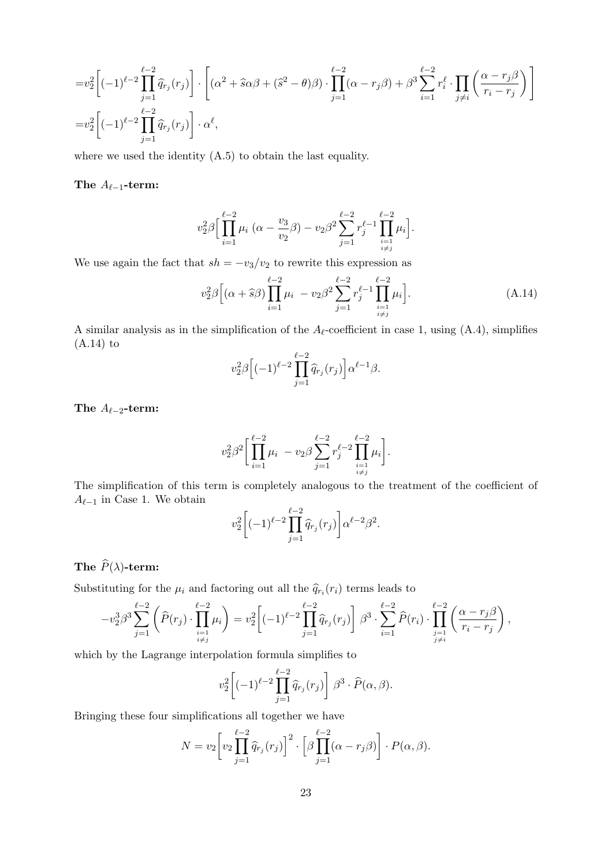$$
=v_2^2\left[(-1)^{\ell-2}\prod_{j=1}^{\ell-2}\widehat{q}_{r_j}(r_j)\right]\cdot\left[(\alpha^2+\widehat{s}\alpha\beta+(\widehat{s}^2-\theta)\beta)\cdot\prod_{j=1}^{\ell-2}(\alpha-r_j\beta)+\beta^3\sum_{i=1}^{\ell-2}r_i^{\ell}\cdot\prod_{j\neq i}\left(\frac{\alpha-r_j\beta}{r_i-r_j}\right)\right]
$$
  

$$
=v_2^2\left[(-1)^{\ell-2}\prod_{j=1}^{\ell-2}\widehat{q}_{r_j}(r_j)\right]\cdot\alpha^{\ell},
$$

where we used the identity  $(A.5)$  to obtain the last equality.

The  $A_{\ell-1}$ -term:

$$
v_2^2 \beta \Biggl[ \prod_{i=1}^{\ell-2} \mu_i \left( \alpha - \frac{v_3}{v_2} \beta \right) - v_2 \beta^2 \sum_{j=1}^{\ell-2} r_j^{\ell-1} \prod_{\substack{i=1 \\ i \neq j}}^{\ell-2} \mu_i \Biggr].
$$

We use again the fact that  $sh = -v_3/v_2$  to rewrite this expression as

$$
v_2^2 \beta \Big[ (\alpha + \widehat{s}\beta) \prod_{i=1}^{\ell-2} \mu_i - v_2 \beta^2 \sum_{j=1}^{\ell-2} r_j^{\ell-1} \prod_{\substack{i=1 \\ i \neq j}}^{\ell-2} \mu_i \Big]. \tag{A.14}
$$

.

A similar analysis as in the simplification of the  $A_{\ell}$ -coefficient in case 1, using (A.4), simplifies (A.14) to

$$
v_2^2 \beta \Big[ (-1)^{\ell-2} \prod_{j=1}^{\ell-2} \widehat{q}_{r_j}(r_j) \Big] \alpha^{\ell-1} \beta.
$$

The  $A_{\ell-2}$ -term:

$$
v_2^2 \beta^2 \bigg[ \prod_{i=1}^{\ell-2} \mu_i - v_2 \beta \sum_{j=1}^{\ell-2} r_j^{\ell-2} \prod_{\substack{i=1 \\ i \neq j}}^{\ell-2} \mu_i \bigg].
$$

The simplification of this term is completely analogous to the treatment of the coefficient of  $A_{\ell-1}$  in Case 1. We obtain

$$
v_2^2 \left[ (-1)^{\ell-2} \prod_{j=1}^{\ell-2} \widehat{q}_{r_j}(r_j) \right] \alpha^{\ell-2} \beta^2
$$

# The  $\widehat{P}(\lambda)$ -term:

Substituting for the  $\mu_i$  and factoring out all the  $\hat{q}_{r_i}(r_i)$  terms leads to

$$
-v_2^3 \beta^3 \sum_{j=1}^{\ell-2} \left( \widehat{P}(r_j) \cdot \prod_{\substack{i=1 \\ i \neq j}}^{\ell-2} \mu_i \right) = v_2^2 \left[ (-1)^{\ell-2} \prod_{j=1}^{\ell-2} \widehat{q}_{r_j}(r_j) \right] \beta^3 \cdot \sum_{i=1}^{\ell-2} \widehat{P}(r_i) \cdot \prod_{\substack{j=1 \\ j \neq i}}^{\ell-2} \left( \frac{\alpha - r_j \beta}{r_i - r_j} \right),
$$

which by the Lagrange interpolation formula simplifies to

$$
v_2^2 \left[ (-1)^{\ell-2} \prod_{j=1}^{\ell-2} \widehat{q}_{r_j}(r_j) \right] \beta^3 \cdot \widehat{P}(\alpha, \beta).
$$

Bringing these four simplifications all together we have

$$
N = v_2 \left[ v_2 \prod_{j=1}^{\ell-2} \widehat{q}_{r_j}(r_j) \right]^2 \cdot \left[ \beta \prod_{j=1}^{\ell-2} (\alpha - r_j \beta) \right] \cdot P(\alpha, \beta).
$$